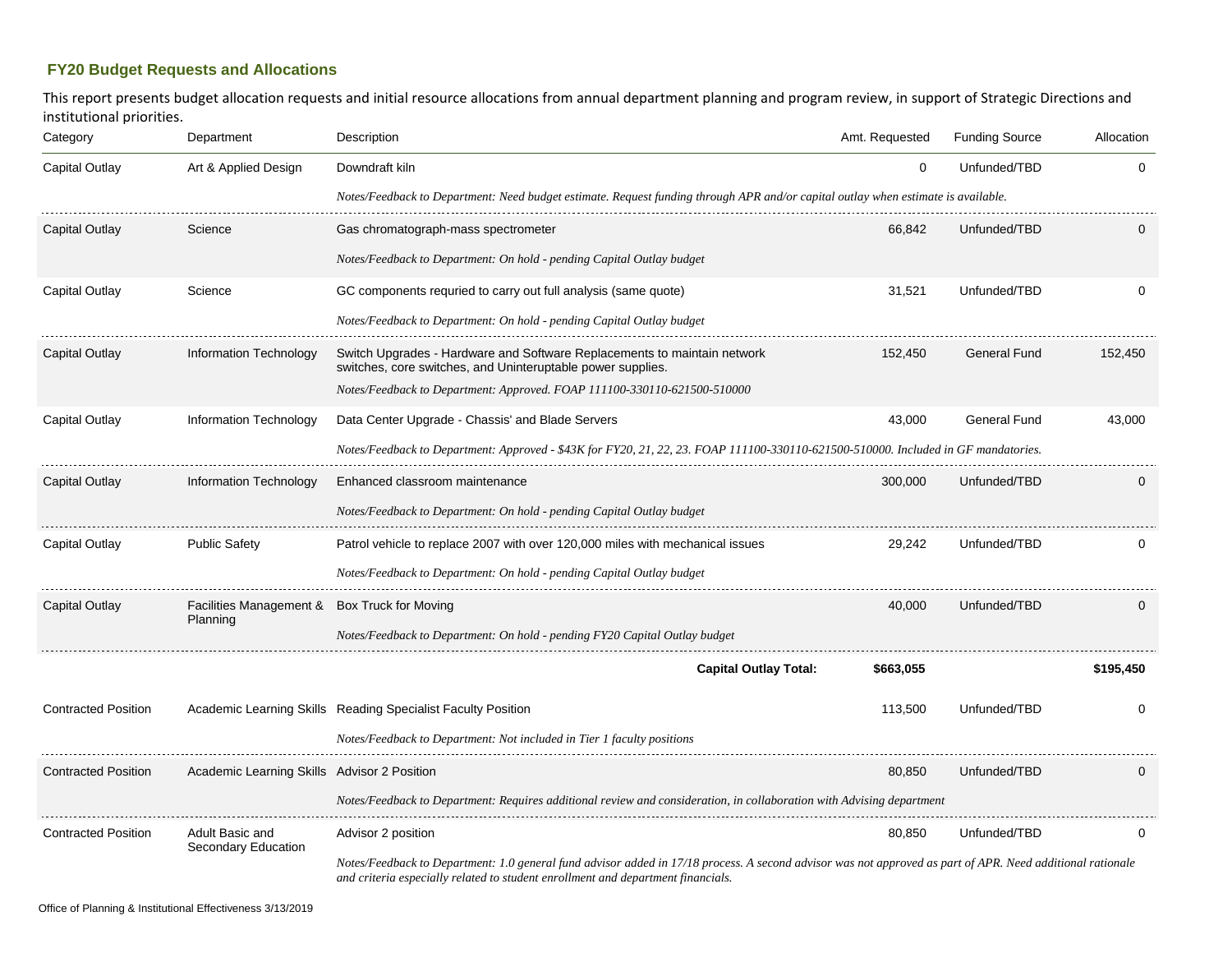## **FY20 Budget Requests and Allocations**

This report presents budget allocation requests and initial resource allocations from annual department planning and program review, in support of Strategic Directions and institutional priorities.

| Category                   | Department                                                                                                                         | Description                                                                                                                                                | Amt. Requested | <b>Funding Source</b> | Allocation |
|----------------------------|------------------------------------------------------------------------------------------------------------------------------------|------------------------------------------------------------------------------------------------------------------------------------------------------------|----------------|-----------------------|------------|
| Capital Outlay             | Art & Applied Design                                                                                                               | Downdraft kiln                                                                                                                                             | 0              | Unfunded/TBD          | $\Omega$   |
|                            |                                                                                                                                    | Notes/Feedback to Department: Need budget estimate. Request funding through APR and/or capital outlay when estimate is available.                          |                |                       |            |
| Capital Outlay             | Science                                                                                                                            | Gas chromatograph-mass spectrometer                                                                                                                        | 66,842         | Unfunded/TBD          |            |
|                            |                                                                                                                                    | Notes/Feedback to Department: On hold - pending Capital Outlay budget                                                                                      |                |                       |            |
| <b>Capital Outlay</b>      | Science                                                                                                                            | GC components requried to carry out full analysis (same quote)                                                                                             | 31,521         | Unfunded/TBD          | $\Omega$   |
|                            |                                                                                                                                    | Notes/Feedback to Department: On hold - pending Capital Outlay budget                                                                                      |                |                       |            |
| Capital Outlay             | Information Technology                                                                                                             | Switch Upgrades - Hardware and Software Replacements to maintain network<br>switches, core switches, and Uninteruptable power supplies.                    | 152,450        | General Fund          | 152.450    |
|                            |                                                                                                                                    | Notes/Feedback to Department: Approved. FOAP 111100-330110-621500-510000                                                                                   |                |                       |            |
| Capital Outlay             | Information Technology                                                                                                             | Data Center Upgrade - Chassis' and Blade Servers                                                                                                           | 43,000         | <b>General Fund</b>   | 43,000     |
|                            | Notes/Feedback to Department: Approved - \$43K for FY20, 21, 22, 23. FOAP 111100-330110-621500-510000. Included in GF mandatories. |                                                                                                                                                            |                |                       |            |
| Capital Outlay             | Information Technology                                                                                                             | Enhanced classroom maintenance                                                                                                                             | 300,000        | Unfunded/TBD          |            |
|                            |                                                                                                                                    | Notes/Feedback to Department: On hold - pending Capital Outlay budget                                                                                      |                |                       |            |
| Capital Outlay             | <b>Public Safety</b>                                                                                                               | Patrol vehicle to replace 2007 with over 120,000 miles with mechanical issues                                                                              | 29,242         | Unfunded/TBD          |            |
|                            |                                                                                                                                    | Notes/Feedback to Department: On hold - pending Capital Outlay budget                                                                                      |                |                       |            |
| <b>Capital Outlay</b>      | Facilities Management & Box Truck for Moving                                                                                       |                                                                                                                                                            | 40,000         | Unfunded/TBD          | 0          |
|                            | Planning                                                                                                                           | Notes/Feedback to Department: On hold - pending FY20 Capital Outlay budget                                                                                 |                |                       |            |
|                            |                                                                                                                                    | <b>Capital Outlay Total:</b>                                                                                                                               | \$663,055      |                       | \$195,450  |
| <b>Contracted Position</b> |                                                                                                                                    | Academic Learning Skills Reading Specialist Faculty Position                                                                                               | 113,500        | Unfunded/TBD          | $\Omega$   |
|                            |                                                                                                                                    | Notes/Feedback to Department: Not included in Tier 1 faculty positions                                                                                     |                |                       |            |
| <b>Contracted Position</b> | Academic Learning Skills Advisor 2 Position                                                                                        |                                                                                                                                                            | 80,850         | Unfunded/TBD          |            |
|                            |                                                                                                                                    | Notes/Feedback to Department: Requires additional review and consideration, in collaboration with Advising department                                      |                |                       |            |
| <b>Contracted Position</b> | Adult Basic and                                                                                                                    | Advisor 2 position                                                                                                                                         | 80,850         | Unfunded/TBD          |            |
|                            | Secondary Education                                                                                                                | Notes/Feedback to Department: 1.0 general fund advisor added in 17/18 process. A second advisor was not approved as part of APR. Need additional rationale |                |                       |            |

*and criteria especially related to student enrollment and department financials.*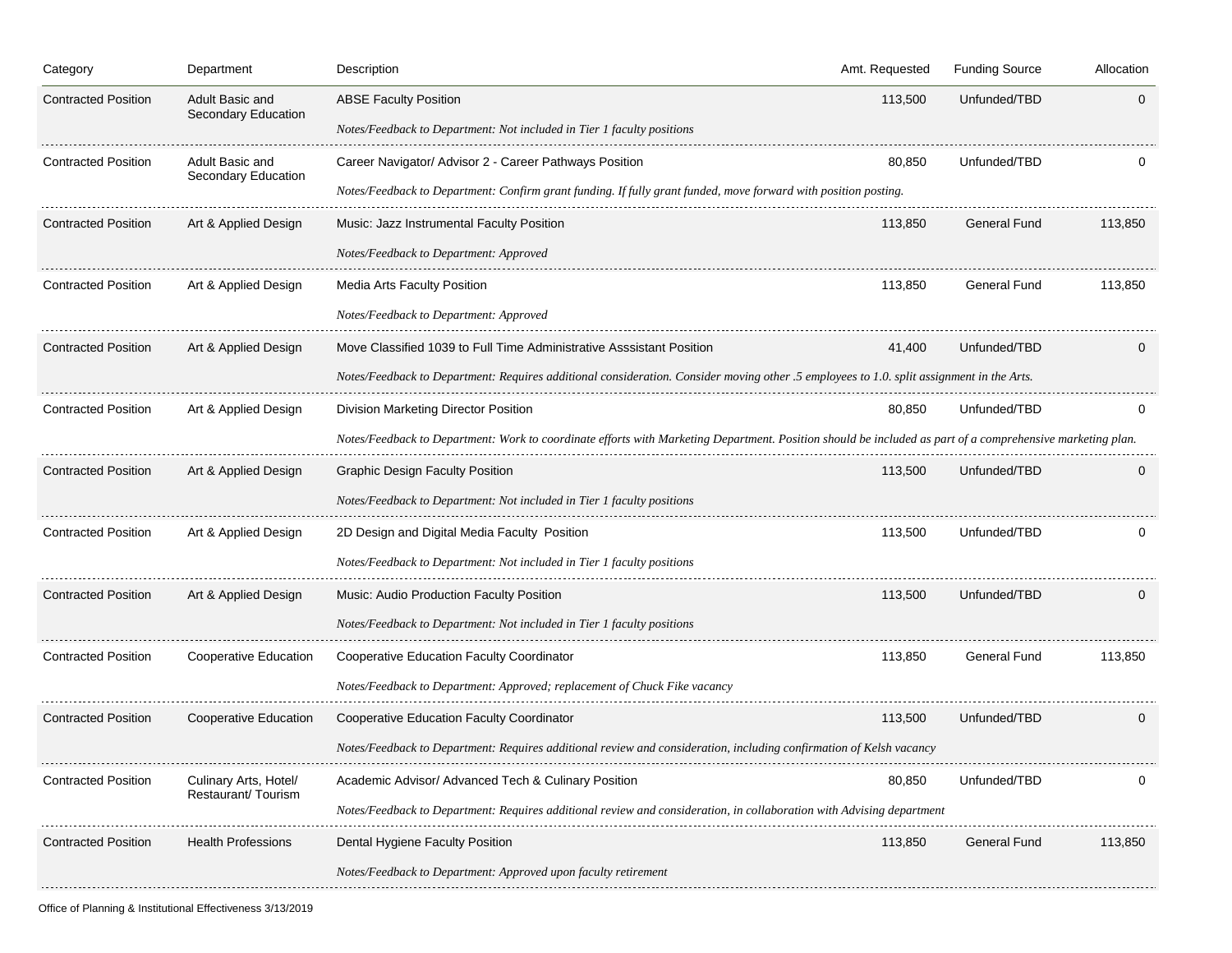| Category                   | Department                             | Description                                                                                                                                                | Amt. Requested | <b>Funding Source</b> | Allocation |  |  |
|----------------------------|----------------------------------------|------------------------------------------------------------------------------------------------------------------------------------------------------------|----------------|-----------------------|------------|--|--|
| <b>Contracted Position</b> | Adult Basic and                        | <b>ABSE Faculty Position</b>                                                                                                                               | 113,500        | Unfunded/TBD          | O          |  |  |
|                            | Secondary Education                    | Notes/Feedback to Department: Not included in Tier 1 faculty positions                                                                                     |                |                       |            |  |  |
| <b>Contracted Position</b> | Adult Basic and<br>Secondary Education | Career Navigator/ Advisor 2 - Career Pathways Position                                                                                                     | 80,850         | Unfunded/TBD          |            |  |  |
|                            |                                        | Notes/Feedback to Department: Confirm grant funding. If fully grant funded, move forward with position posting.                                            |                |                       |            |  |  |
| <b>Contracted Position</b> | Art & Applied Design                   | Music: Jazz Instrumental Faculty Position                                                                                                                  | 113,850        | General Fund          | 113,850    |  |  |
|                            |                                        | Notes/Feedback to Department: Approved                                                                                                                     |                |                       |            |  |  |
| <b>Contracted Position</b> | Art & Applied Design                   | Media Arts Faculty Position                                                                                                                                | 113,850        | General Fund          | 113,850    |  |  |
|                            |                                        | Notes/Feedback to Department: Approved                                                                                                                     |                |                       |            |  |  |
| <b>Contracted Position</b> | Art & Applied Design                   | Move Classified 1039 to Full Time Administrative Asssistant Position                                                                                       | 41,400         | Unfunded/TBD          |            |  |  |
|                            |                                        | Notes/Feedback to Department: Requires additional consideration. Consider moving other .5 employees to 1.0. split assignment in the Arts.                  |                |                       |            |  |  |
| <b>Contracted Position</b> | Art & Applied Design                   | Division Marketing Director Position                                                                                                                       | 80,850         | Unfunded/TBD          |            |  |  |
|                            |                                        | Notes/Feedback to Department: Work to coordinate efforts with Marketing Department. Position should be included as part of a comprehensive marketing plan. |                |                       |            |  |  |
| <b>Contracted Position</b> | Art & Applied Design                   | <b>Graphic Design Faculty Position</b>                                                                                                                     | 113,500        | Unfunded/TBD          |            |  |  |
|                            |                                        | Notes/Feedback to Department: Not included in Tier 1 faculty positions                                                                                     |                |                       |            |  |  |
| <b>Contracted Position</b> | Art & Applied Design                   | 2D Design and Digital Media Faculty Position                                                                                                               | 113,500        | Unfunded/TBD          |            |  |  |
|                            |                                        | Notes/Feedback to Department: Not included in Tier 1 faculty positions                                                                                     |                |                       |            |  |  |
| <b>Contracted Position</b> | Art & Applied Design                   | Music: Audio Production Faculty Position                                                                                                                   | 113,500        | Unfunded/TBD          |            |  |  |
|                            |                                        | Notes/Feedback to Department: Not included in Tier 1 faculty positions                                                                                     |                |                       |            |  |  |
| <b>Contracted Position</b> | Cooperative Education                  | <b>Cooperative Education Faculty Coordinator</b>                                                                                                           | 113,850        | General Fund          | 113,850    |  |  |
|                            |                                        | Notes/Feedback to Department: Approved; replacement of Chuck Fike vacancy                                                                                  |                |                       |            |  |  |
| <b>Contracted Position</b> | Cooperative Education                  | <b>Cooperative Education Faculty Coordinator</b>                                                                                                           | 113,500        | Unfunded/TBD          |            |  |  |
|                            |                                        | Notes/Feedback to Department: Requires additional review and consideration, including confirmation of Kelsh vacancy                                        |                |                       |            |  |  |
| <b>Contracted Position</b> | Culinary Arts, Hotel/                  | Academic Advisor/ Advanced Tech & Culinary Position                                                                                                        | 80,850         | Unfunded/TBD          |            |  |  |
|                            | Restaurant/Tourism                     | Notes/Feedback to Department: Requires additional review and consideration, in collaboration with Advising department                                      |                |                       |            |  |  |
| <b>Contracted Position</b> | <b>Health Professions</b>              | Dental Hygiene Faculty Position                                                                                                                            | 113,850        | <b>General Fund</b>   | 113,850    |  |  |
|                            |                                        | Notes/Feedback to Department: Approved upon faculty retirement                                                                                             |                |                       |            |  |  |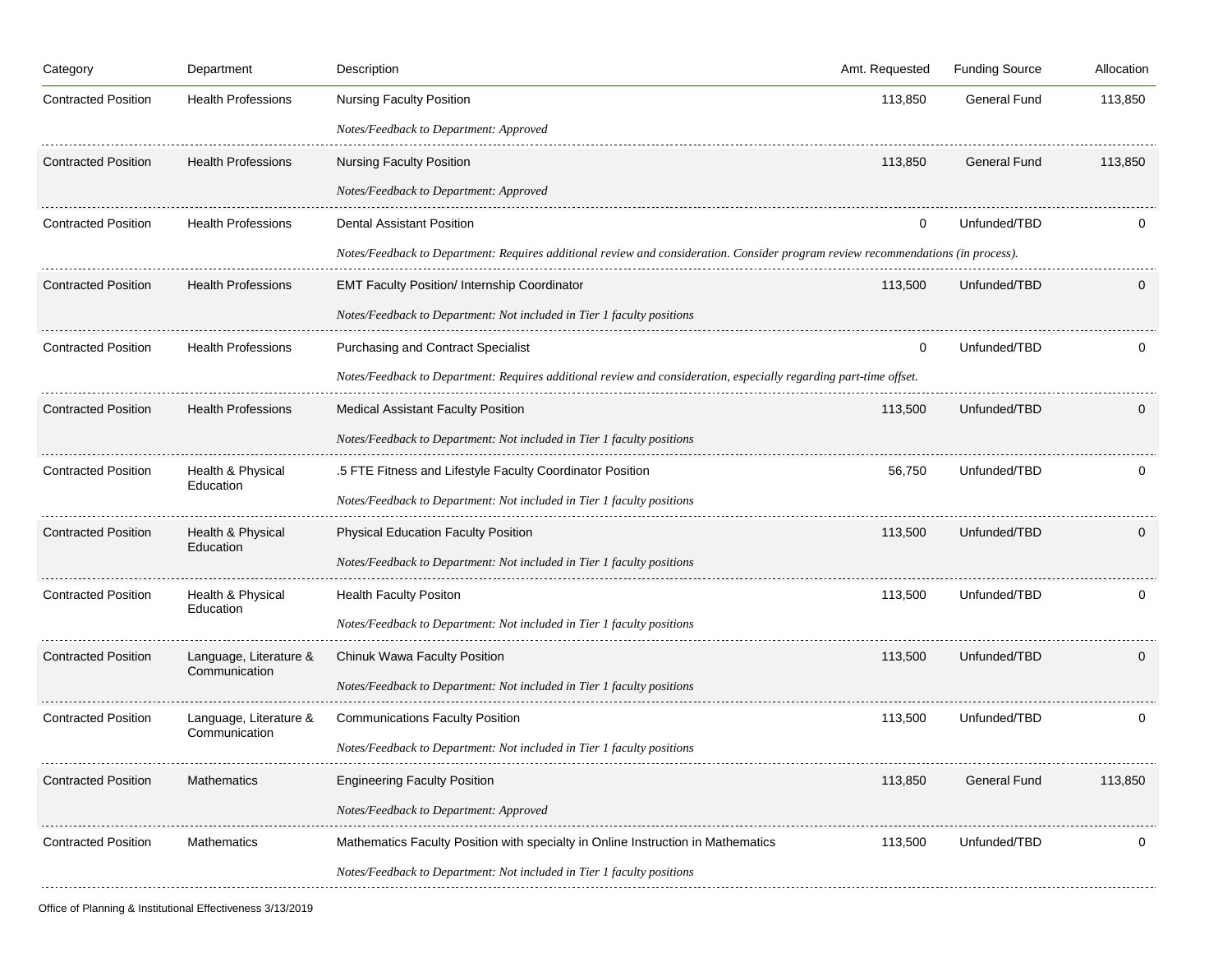| Category                   | Department                              | Description                                                                                                                       | Amt. Requested | <b>Funding Source</b> | Allocation |
|----------------------------|-----------------------------------------|-----------------------------------------------------------------------------------------------------------------------------------|----------------|-----------------------|------------|
| <b>Contracted Position</b> | <b>Health Professions</b>               | <b>Nursing Faculty Position</b>                                                                                                   | 113,850        | <b>General Fund</b>   | 113,850    |
|                            |                                         | Notes/Feedback to Department: Approved                                                                                            |                |                       |            |
| <b>Contracted Position</b> | <b>Health Professions</b>               | <b>Nursing Faculty Position</b>                                                                                                   | 113,850        | <b>General Fund</b>   | 113,850    |
|                            |                                         | Notes/Feedback to Department: Approved                                                                                            |                |                       |            |
| <b>Contracted Position</b> | <b>Health Professions</b>               | <b>Dental Assistant Position</b>                                                                                                  |                | Unfunded/TBD          |            |
|                            |                                         | Notes/Feedback to Department: Requires additional review and consideration. Consider program review recommendations (in process). |                |                       |            |
| <b>Contracted Position</b> | <b>Health Professions</b>               | <b>EMT Faculty Position/ Internship Coordinator</b>                                                                               | 113,500        | Unfunded/TBD          |            |
|                            |                                         | Notes/Feedback to Department: Not included in Tier 1 faculty positions                                                            |                |                       |            |
| <b>Contracted Position</b> | <b>Health Professions</b>               | <b>Purchasing and Contract Specialist</b>                                                                                         | 0              | Unfunded/TBD          |            |
|                            |                                         | Notes/Feedback to Department: Requires additional review and consideration, especially regarding part-time offset.                |                |                       |            |
| <b>Contracted Position</b> | <b>Health Professions</b>               | <b>Medical Assistant Faculty Position</b>                                                                                         | 113,500        | Unfunded/TBD          |            |
|                            |                                         | Notes/Feedback to Department: Not included in Tier 1 faculty positions                                                            |                |                       |            |
| <b>Contracted Position</b> | Health & Physical<br>Education          | .5 FTE Fitness and Lifestyle Faculty Coordinator Position                                                                         | 56,750         | Unfunded/TBD          |            |
|                            |                                         | Notes/Feedback to Department: Not included in Tier 1 faculty positions                                                            |                |                       |            |
| <b>Contracted Position</b> | Health & Physical<br>Education          | <b>Physical Education Faculty Position</b>                                                                                        | 113,500        | Unfunded/TBD          |            |
|                            |                                         | Notes/Feedback to Department: Not included in Tier 1 faculty positions                                                            |                |                       |            |
| <b>Contracted Position</b> | Health & Physical<br>Education          | <b>Health Faculty Positon</b>                                                                                                     | 113,500        | Unfunded/TBD          |            |
|                            |                                         | Notes/Feedback to Department: Not included in Tier 1 faculty positions                                                            |                |                       |            |
| <b>Contracted Position</b> | Language, Literature &<br>Communication | Chinuk Wawa Faculty Position                                                                                                      | 113,500        | Unfunded/TBD          | 0          |
|                            |                                         | Notes/Feedback to Department: Not included in Tier 1 faculty positions                                                            |                |                       |            |
| <b>Contracted Position</b> | Language, Literature &<br>Communication | <b>Communications Faculty Position</b>                                                                                            | 113,500        | Unfunded/TBD          |            |
|                            |                                         | Notes/Feedback to Department: Not included in Tier 1 faculty positions                                                            |                |                       |            |
| <b>Contracted Position</b> | <b>Mathematics</b>                      | <b>Engineering Faculty Position</b>                                                                                               | 113,850        | <b>General Fund</b>   | 113,850    |
|                            |                                         | Notes/Feedback to Department: Approved                                                                                            |                |                       |            |
| <b>Contracted Position</b> | <b>Mathematics</b>                      | Mathematics Faculty Position with specialty in Online Instruction in Mathematics                                                  | 113,500        | Unfunded/TBD          | 0          |
|                            |                                         | Notes/Feedback to Department: Not included in Tier 1 faculty positions                                                            |                |                       |            |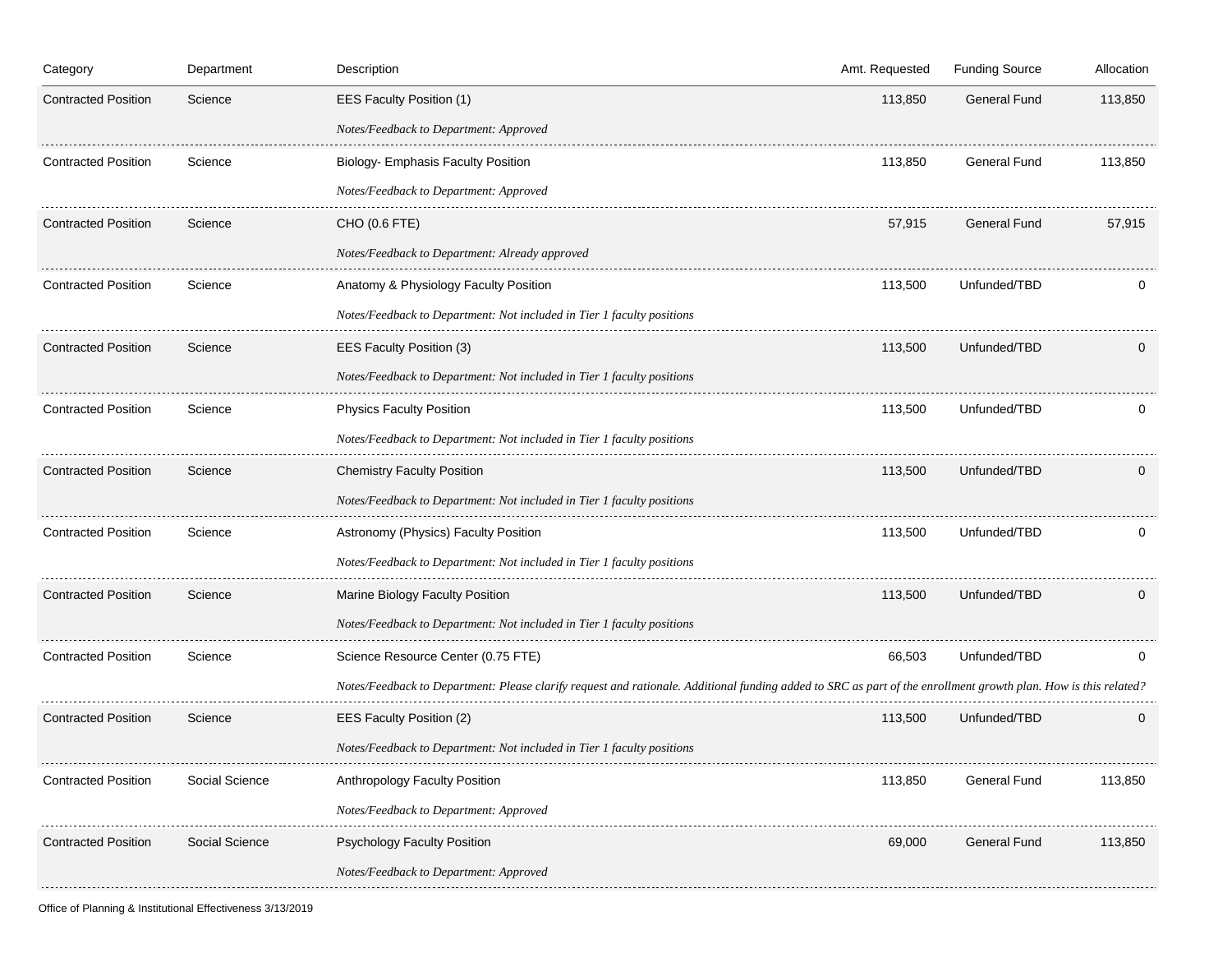| Category                   | Department     | Description                                                                                                                                                     | Amt. Requested | <b>Funding Source</b> | Allocation |
|----------------------------|----------------|-----------------------------------------------------------------------------------------------------------------------------------------------------------------|----------------|-----------------------|------------|
| <b>Contracted Position</b> | Science        | EES Faculty Position (1)                                                                                                                                        | 113,850        | <b>General Fund</b>   | 113,850    |
|                            |                | Notes/Feedback to Department: Approved                                                                                                                          |                |                       |            |
| <b>Contracted Position</b> | Science        | Biology- Emphasis Faculty Position                                                                                                                              | 113,850        | General Fund          | 113,850    |
|                            |                | Notes/Feedback to Department: Approved                                                                                                                          |                |                       |            |
| <b>Contracted Position</b> | Science        | CHO (0.6 FTE)                                                                                                                                                   | 57,915         | General Fund          | 57,915     |
|                            |                | Notes/Feedback to Department: Already approved                                                                                                                  |                |                       |            |
| <b>Contracted Position</b> | Science        | Anatomy & Physiology Faculty Position                                                                                                                           | 113,500        | Unfunded/TBD          |            |
|                            |                | Notes/Feedback to Department: Not included in Tier 1 faculty positions                                                                                          |                |                       |            |
| <b>Contracted Position</b> | Science        | EES Faculty Position (3)                                                                                                                                        | 113,500        | Unfunded/TBD          |            |
|                            |                | Notes/Feedback to Department: Not included in Tier 1 faculty positions                                                                                          |                |                       |            |
| <b>Contracted Position</b> | Science        | <b>Physics Faculty Position</b>                                                                                                                                 | 113,500        | Unfunded/TBD          |            |
|                            |                | Notes/Feedback to Department: Not included in Tier 1 faculty positions                                                                                          |                |                       |            |
| <b>Contracted Position</b> | Science        | <b>Chemistry Faculty Position</b>                                                                                                                               | 113,500        | Unfunded/TBD          |            |
|                            |                | Notes/Feedback to Department: Not included in Tier 1 faculty positions                                                                                          |                |                       |            |
| <b>Contracted Position</b> | Science        | Astronomy (Physics) Faculty Position                                                                                                                            | 113,500        | Unfunded/TBD          | 0          |
|                            |                | Notes/Feedback to Department: Not included in Tier 1 faculty positions                                                                                          |                |                       |            |
| <b>Contracted Position</b> | Science        | Marine Biology Faculty Position                                                                                                                                 | 113,500        | Unfunded/TBD          |            |
|                            |                | Notes/Feedback to Department: Not included in Tier 1 faculty positions                                                                                          |                |                       |            |
| <b>Contracted Position</b> | Science        | Science Resource Center (0.75 FTE)                                                                                                                              | 66,503         | Unfunded/TBD          | 0          |
|                            |                | Notes/Feedback to Department: Please clarify request and rationale. Additional funding added to SRC as part of the enrollment growth plan. How is this related? |                |                       |            |
| <b>Contracted Position</b> | Science        | EES Faculty Position (2)                                                                                                                                        | 113,500        | Unfunded/TBD          |            |
|                            |                | Notes/Feedback to Department: Not included in Tier 1 faculty positions                                                                                          |                |                       |            |
| <b>Contracted Position</b> | Social Science | <b>Anthropology Faculty Position</b>                                                                                                                            | 113,850        | <b>General Fund</b>   | 113,850    |
|                            |                | Notes/Feedback to Department: Approved                                                                                                                          |                |                       |            |
| <b>Contracted Position</b> | Social Science | <b>Psychology Faculty Position</b>                                                                                                                              | 69,000         | <b>General Fund</b>   | 113,850    |
|                            |                | Notes/Feedback to Department: Approved                                                                                                                          |                |                       |            |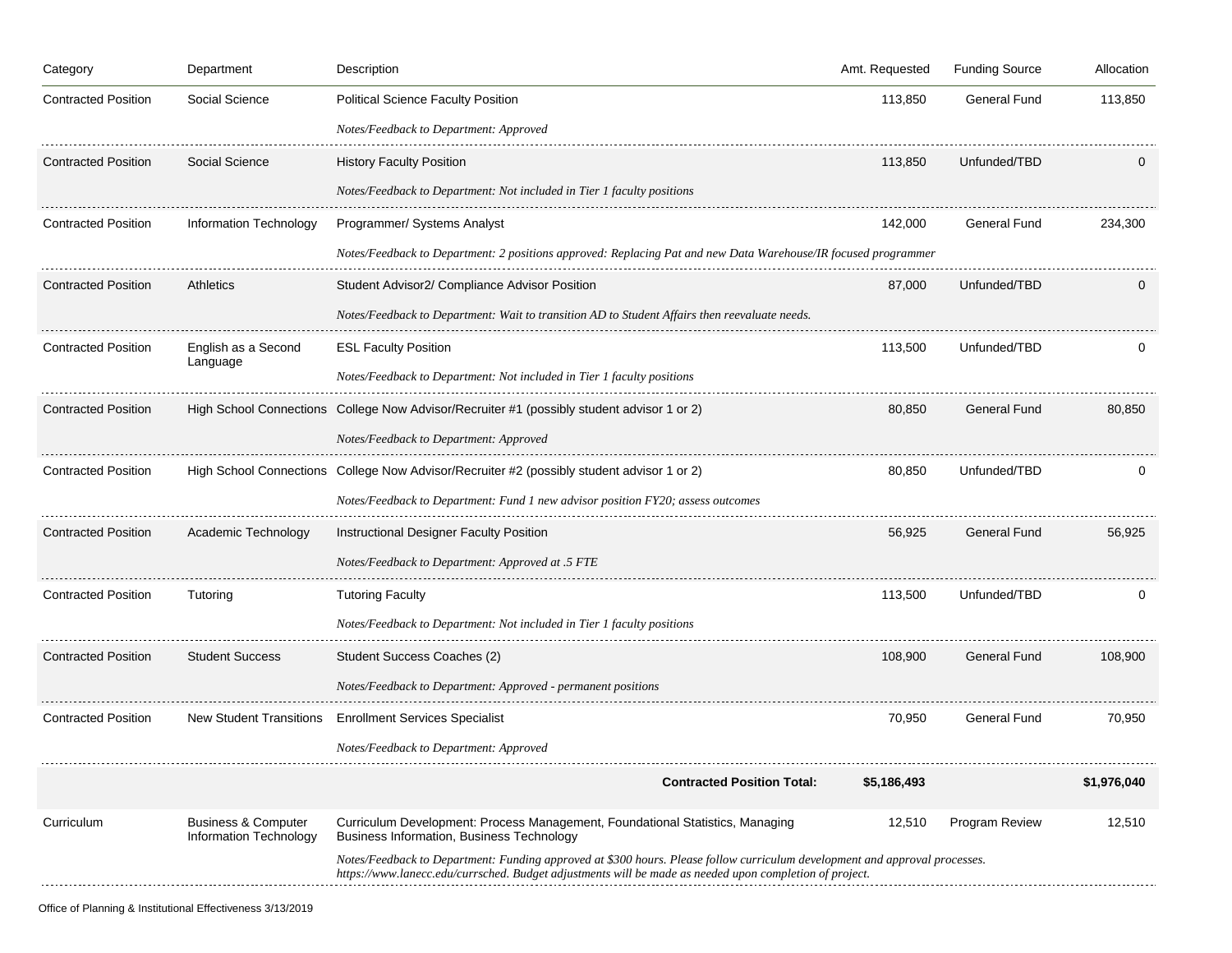| Category                   | Department                                               | Description                                                                                                                                                                                                                            | Amt. Requested | <b>Funding Source</b> | Allocation  |
|----------------------------|----------------------------------------------------------|----------------------------------------------------------------------------------------------------------------------------------------------------------------------------------------------------------------------------------------|----------------|-----------------------|-------------|
| <b>Contracted Position</b> | Social Science                                           | <b>Political Science Faculty Position</b>                                                                                                                                                                                              | 113,850        | <b>General Fund</b>   | 113,850     |
|                            |                                                          | Notes/Feedback to Department: Approved                                                                                                                                                                                                 |                |                       |             |
| <b>Contracted Position</b> | Social Science                                           | <b>History Faculty Position</b>                                                                                                                                                                                                        | 113,850        | Unfunded/TBD          |             |
|                            |                                                          | Notes/Feedback to Department: Not included in Tier 1 faculty positions                                                                                                                                                                 |                |                       |             |
| <b>Contracted Position</b> | <b>Information Technology</b>                            | Programmer/ Systems Analyst                                                                                                                                                                                                            | 142,000        | <b>General Fund</b>   | 234,300     |
|                            |                                                          | Notes/Feedback to Department: 2 positions approved: Replacing Pat and new Data Warehouse/IR focused programmer                                                                                                                         |                |                       |             |
| <b>Contracted Position</b> | Athletics                                                | Student Advisor2/ Compliance Advisor Position                                                                                                                                                                                          | 87,000         | Unfunded/TBD          |             |
|                            |                                                          | Notes/Feedback to Department: Wait to transition AD to Student Affairs then reevaluate needs.                                                                                                                                          |                |                       |             |
| <b>Contracted Position</b> | English as a Second<br>Language                          | <b>ESL Faculty Position</b>                                                                                                                                                                                                            | 113,500        | Unfunded/TBD          |             |
|                            |                                                          | Notes/Feedback to Department: Not included in Tier 1 faculty positions                                                                                                                                                                 |                |                       |             |
| <b>Contracted Position</b> |                                                          | High School Connections College Now Advisor/Recruiter #1 (possibly student advisor 1 or 2)                                                                                                                                             | 80,850         | General Fund          | 80,850      |
|                            |                                                          | Notes/Feedback to Department: Approved                                                                                                                                                                                                 |                |                       |             |
| <b>Contracted Position</b> |                                                          | High School Connections College Now Advisor/Recruiter #2 (possibly student advisor 1 or 2)                                                                                                                                             | 80,850         | Unfunded/TBD          |             |
|                            |                                                          | Notes/Feedback to Department: Fund 1 new advisor position FY20; assess outcomes                                                                                                                                                        |                |                       |             |
| <b>Contracted Position</b> | Academic Technology                                      | Instructional Designer Faculty Position                                                                                                                                                                                                | 56,925         | <b>General Fund</b>   | 56,925      |
|                            |                                                          | Notes/Feedback to Department: Approved at .5 FTE                                                                                                                                                                                       |                |                       |             |
| <b>Contracted Position</b> | Tutoring                                                 | <b>Tutoring Faculty</b>                                                                                                                                                                                                                | 113,500        | Unfunded/TBD          |             |
|                            |                                                          | Notes/Feedback to Department: Not included in Tier 1 faculty positions                                                                                                                                                                 |                |                       |             |
| <b>Contracted Position</b> | <b>Student Success</b>                                   | Student Success Coaches (2)                                                                                                                                                                                                            | 108,900        | <b>General Fund</b>   | 108,900     |
|                            |                                                          | Notes/Feedback to Department: Approved - permanent positions                                                                                                                                                                           |                |                       |             |
| <b>Contracted Position</b> | <b>New Student Transitions</b>                           | <b>Enrollment Services Specialist</b>                                                                                                                                                                                                  | 70,950         | <b>General Fund</b>   | 70,950      |
|                            |                                                          | Notes/Feedback to Department: Approved                                                                                                                                                                                                 |                |                       |             |
|                            |                                                          | <b>Contracted Position Total:</b>                                                                                                                                                                                                      | \$5,186,493    |                       | \$1.976.040 |
| Curriculum                 | <b>Business &amp; Computer</b><br>Information Technology | Curriculum Development: Process Management, Foundational Statistics, Managing<br>Business Information, Business Technology                                                                                                             | 12,510         | Program Review        | 12,510      |
|                            |                                                          | Notes/Feedback to Department: Funding approved at \$300 hours. Please follow curriculum development and approval processes.<br>https://www.lanecc.edu/currsched. Budget adjustments will be made as needed upon completion of project. |                |                       |             |
|                            |                                                          |                                                                                                                                                                                                                                        |                |                       |             |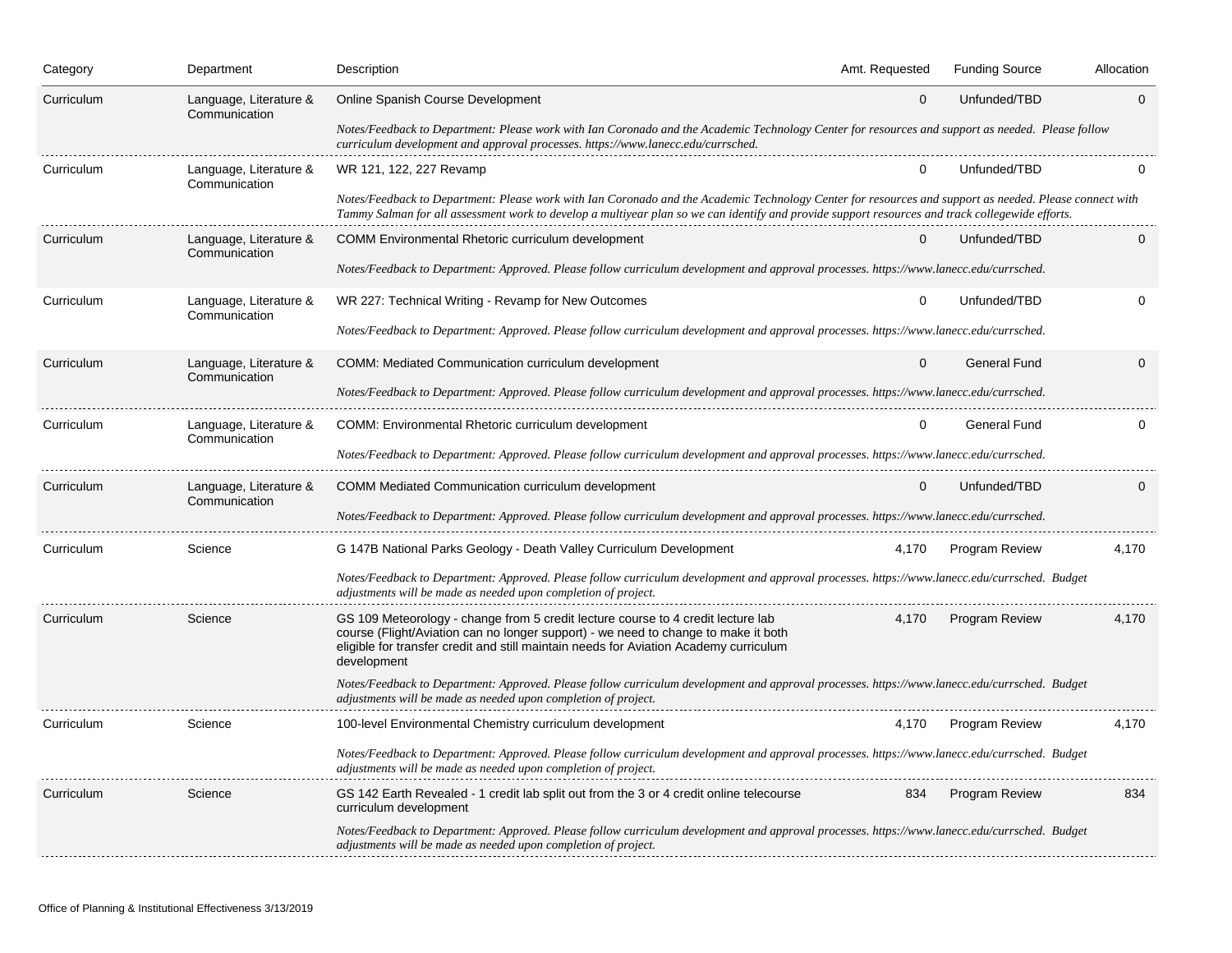| Category   | Department                              | Description                                                                                                                                                                                                                                                                                                 | Amt. Requested | <b>Funding Source</b> | Allocation   |  |  |
|------------|-----------------------------------------|-------------------------------------------------------------------------------------------------------------------------------------------------------------------------------------------------------------------------------------------------------------------------------------------------------------|----------------|-----------------------|--------------|--|--|
| Curriculum | Language, Literature &<br>Communication | Online Spanish Course Development                                                                                                                                                                                                                                                                           | $\Omega$       | Unfunded/TBD          | $\Omega$     |  |  |
|            |                                         | Notes/Feedback to Department: Please work with Ian Coronado and the Academic Technology Center for resources and support as needed. Please follow<br>curriculum development and approval processes. https://www.lanecc.edu/currsched.                                                                       |                |                       |              |  |  |
| Curriculum | Language, Literature &<br>Communication | WR 121, 122, 227 Revamp                                                                                                                                                                                                                                                                                     | 0              | Unfunded/TBD          |              |  |  |
|            |                                         | Notes/Feedback to Department: Please work with Ian Coronado and the Academic Technology Center for resources and support as needed. Please connect with<br>Tammy Salman for all assessment work to develop a multiyear plan so we can identify and provide support resources and track collegewide efforts. |                |                       |              |  |  |
| Curriculum | Language, Literature &<br>Communication | COMM Environmental Rhetoric curriculum development                                                                                                                                                                                                                                                          | $\Omega$       | Unfunded/TBD          | $\Omega$     |  |  |
|            |                                         | Notes/Feedback to Department: Approved. Please follow curriculum development and approval processes. https://www.lanecc.edu/currsched.                                                                                                                                                                      |                |                       |              |  |  |
| Curriculum | Language, Literature &<br>Communication | WR 227: Technical Writing - Revamp for New Outcomes                                                                                                                                                                                                                                                         | $\Omega$       | Unfunded/TBD          | $\Omega$     |  |  |
|            |                                         | Notes/Feedback to Department: Approved. Please follow curriculum development and approval processes. https://www.lanecc.edu/currsched.                                                                                                                                                                      |                |                       |              |  |  |
| Curriculum | Language, Literature &<br>Communication | <b>COMM: Mediated Communication curriculum development</b>                                                                                                                                                                                                                                                  | $\Omega$       | <b>General Fund</b>   | $\mathbf{0}$ |  |  |
|            |                                         | Notes/Feedback to Department: Approved. Please follow curriculum development and approval processes. https://www.lanecc.edu/currsched.                                                                                                                                                                      |                |                       |              |  |  |
| Curriculum | Language, Literature &<br>Communication | <b>COMM: Environmental Rhetoric curriculum development</b>                                                                                                                                                                                                                                                  | 0              | General Fund          | $\Omega$     |  |  |
|            |                                         | Notes/Feedback to Department: Approved. Please follow curriculum development and approval processes. https://www.lanecc.edu/currsched.                                                                                                                                                                      |                |                       |              |  |  |
| Curriculum | Language, Literature &<br>Communication | <b>COMM Mediated Communication curriculum development</b>                                                                                                                                                                                                                                                   | $\Omega$       | Unfunded/TBD          | $\Omega$     |  |  |
|            |                                         | Notes/Feedback to Department: Approved. Please follow curriculum development and approval processes. https://www.lanecc.edu/currsched.                                                                                                                                                                      |                |                       |              |  |  |
| Curriculum | Science                                 | G 147B National Parks Geology - Death Valley Curriculum Development                                                                                                                                                                                                                                         | 4,170          | Program Review        | 4,170        |  |  |
|            |                                         | Notes/Feedback to Department: Approved. Please follow curriculum development and approval processes. https://www.lanecc.edu/currsched. Budget<br>adjustments will be made as needed upon completion of project.                                                                                             |                |                       |              |  |  |
| Curriculum | Science                                 | GS 109 Meteorology - change from 5 credit lecture course to 4 credit lecture lab<br>course (Flight/Aviation can no longer support) - we need to change to make it both<br>eligible for transfer credit and still maintain needs for Aviation Academy curriculum<br>development                              | 4,170          | <b>Program Review</b> | 4,170        |  |  |
|            |                                         | Notes/Feedback to Department: Approved. Please follow curriculum development and approval processes. https://www.lanecc.edu/currsched. Budget<br>adjustments will be made as needed upon completion of project.                                                                                             |                |                       |              |  |  |
| Curriculum | Science                                 | 100-level Environmental Chemistry curriculum development                                                                                                                                                                                                                                                    | 4,170          | <b>Program Review</b> | 4,170        |  |  |
|            |                                         | Notes/Feedback to Department: Approved. Please follow curriculum development and approval processes. https://www.lanecc.edu/currsched. Budget<br>adjustments will be made as needed upon completion of project.                                                                                             |                |                       |              |  |  |
| Curriculum | Science                                 | GS 142 Earth Revealed - 1 credit lab split out from the 3 or 4 credit online telecourse<br>curriculum development                                                                                                                                                                                           | 834            | <b>Program Review</b> | 834          |  |  |
|            |                                         | Notes/Feedback to Department: Approved. Please follow curriculum development and approval processes. https://www.lanecc.edu/currsched. Budget<br>adjustments will be made as needed upon completion of project.                                                                                             |                |                       |              |  |  |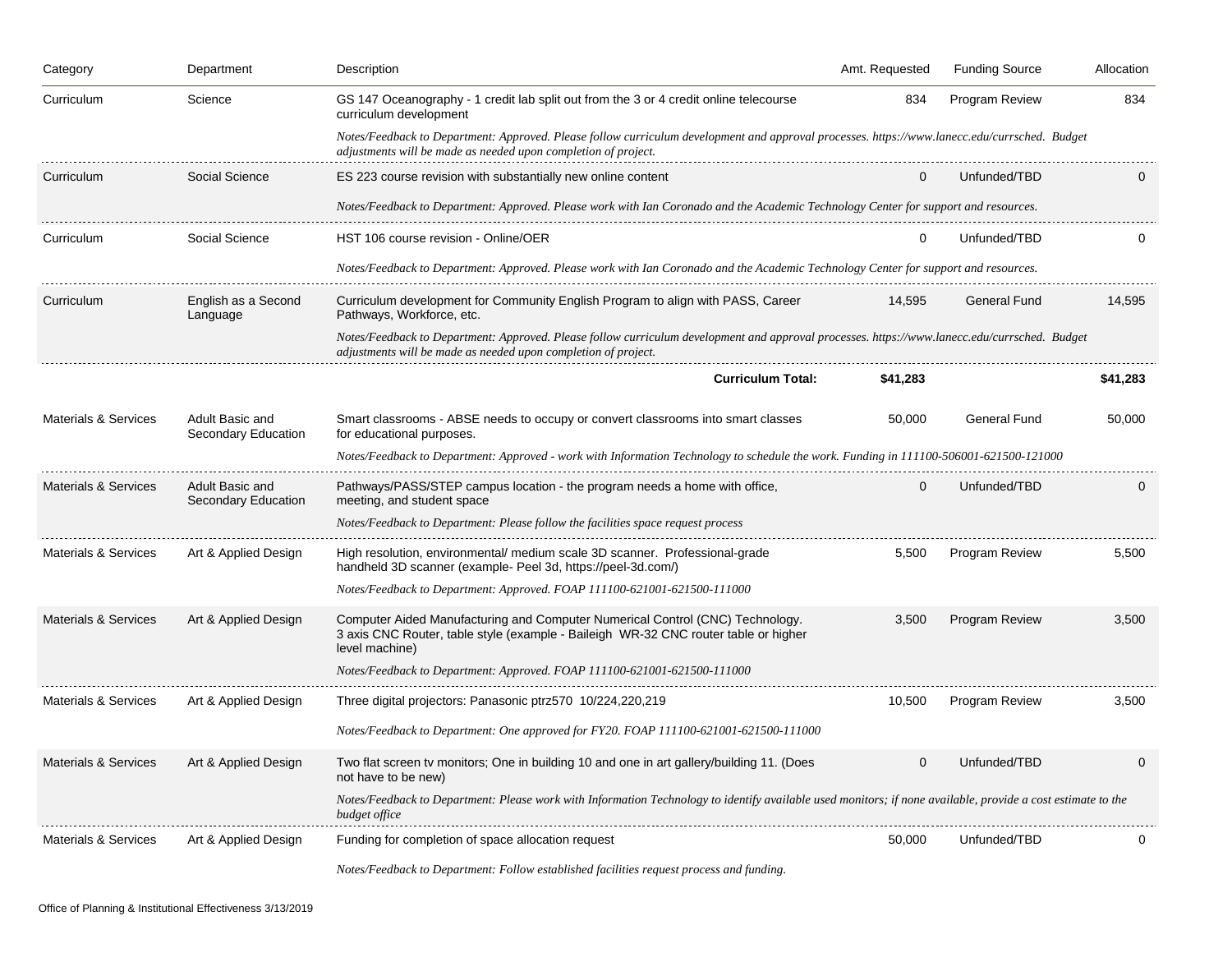| Category                        | Department                             | Description                                                                                                                                                                                                     | Amt. Requested | <b>Funding Source</b> | Allocation |
|---------------------------------|----------------------------------------|-----------------------------------------------------------------------------------------------------------------------------------------------------------------------------------------------------------------|----------------|-----------------------|------------|
| Curriculum                      | Science                                | GS 147 Oceanography - 1 credit lab split out from the 3 or 4 credit online telecourse<br>curriculum development                                                                                                 | 834            | Program Review        | 834        |
|                                 |                                        | Notes/Feedback to Department: Approved. Please follow curriculum development and approval processes. https://www.lanecc.edu/currsched. Budget<br>adjustments will be made as needed upon completion of project. |                |                       |            |
| Curriculum                      | Social Science                         | ES 223 course revision with substantially new online content                                                                                                                                                    | 0              | Unfunded/TBD          |            |
|                                 |                                        | Notes/Feedback to Department: Approved. Please work with Ian Coronado and the Academic Technology Center for support and resources.                                                                             |                |                       |            |
| Curriculum                      | Social Science                         | HST 106 course revision - Online/OER                                                                                                                                                                            |                | Unfunded/TBD          |            |
|                                 |                                        | Notes/Feedback to Department: Approved. Please work with Ian Coronado and the Academic Technology Center for support and resources.                                                                             |                |                       |            |
| Curriculum                      | English as a Second<br>Language        | Curriculum development for Community English Program to align with PASS, Career<br>Pathways, Workforce, etc.                                                                                                    | 14,595         | General Fund          | 14,595     |
|                                 |                                        | Notes/Feedback to Department: Approved. Please follow curriculum development and approval processes. https://www.lanecc.edu/currsched. Budget<br>adjustments will be made as needed upon completion of project. |                |                       |            |
|                                 |                                        | <b>Curriculum Total:</b>                                                                                                                                                                                        | \$41,283       |                       | \$41,283   |
| <b>Materials &amp; Services</b> | Adult Basic and<br>Secondary Education | Smart classrooms - ABSE needs to occupy or convert classrooms into smart classes<br>for educational purposes.                                                                                                   | 50,000         | General Fund          | 50,000     |
|                                 |                                        | Notes/Feedback to Department: Approved - work with Information Technology to schedule the work. Funding in 111100-506001-621500-121000                                                                          |                |                       |            |
| <b>Materials &amp; Services</b> | Adult Basic and<br>Secondary Education | Pathways/PASS/STEP campus location - the program needs a home with office,<br>meeting, and student space                                                                                                        | 0              | Unfunded/TBD          | 0          |
|                                 |                                        | Notes/Feedback to Department: Please follow the facilities space request process                                                                                                                                |                |                       |            |
| Materials & Services            | Art & Applied Design                   | High resolution, environmental/ medium scale 3D scanner. Professional-grade<br>handheld 3D scanner (example- Peel 3d, https://peel-3d.com/)                                                                     | 5,500          | <b>Program Review</b> | 5,500      |
|                                 |                                        | Notes/Feedback to Department: Approved. FOAP 111100-621001-621500-111000                                                                                                                                        |                |                       |            |
| <b>Materials &amp; Services</b> | Art & Applied Design                   | Computer Aided Manufacturing and Computer Numerical Control (CNC) Technology.<br>3 axis CNC Router, table style (example - Baileigh WR-32 CNC router table or higher<br>level machine)                          | 3,500          | Program Review        | 3,500      |
|                                 |                                        | Notes/Feedback to Department: Approved. FOAP 111100-621001-621500-111000                                                                                                                                        |                |                       |            |
| <b>Materials &amp; Services</b> | Art & Applied Design                   | Three digital projectors: Panasonic ptrz570 10/224,220,219                                                                                                                                                      | 10,500         | <b>Program Review</b> | 3,500      |
|                                 |                                        | Notes/Feedback to Department: One approved for FY20. FOAP 111100-621001-621500-111000                                                                                                                           |                |                       |            |
| Materials & Services            | Art & Applied Design                   | Two flat screen tv monitors; One in building 10 and one in art gallery/building 11. (Does<br>not have to be new)                                                                                                | 0              | Unfunded/TBD          | 0          |
|                                 |                                        | Notes/Feedback to Department: Please work with Information Technology to identify available used monitors; if none available, provide a cost estimate to the<br>budget office                                   |                |                       |            |
| Materials & Services            | Art & Applied Design                   | Funding for completion of space allocation request                                                                                                                                                              | 50,000         | Unfunded/TBD          | 0          |
|                                 |                                        | Notes/Feedback to Department: Follow established facilities request process and funding.                                                                                                                        |                |                       |            |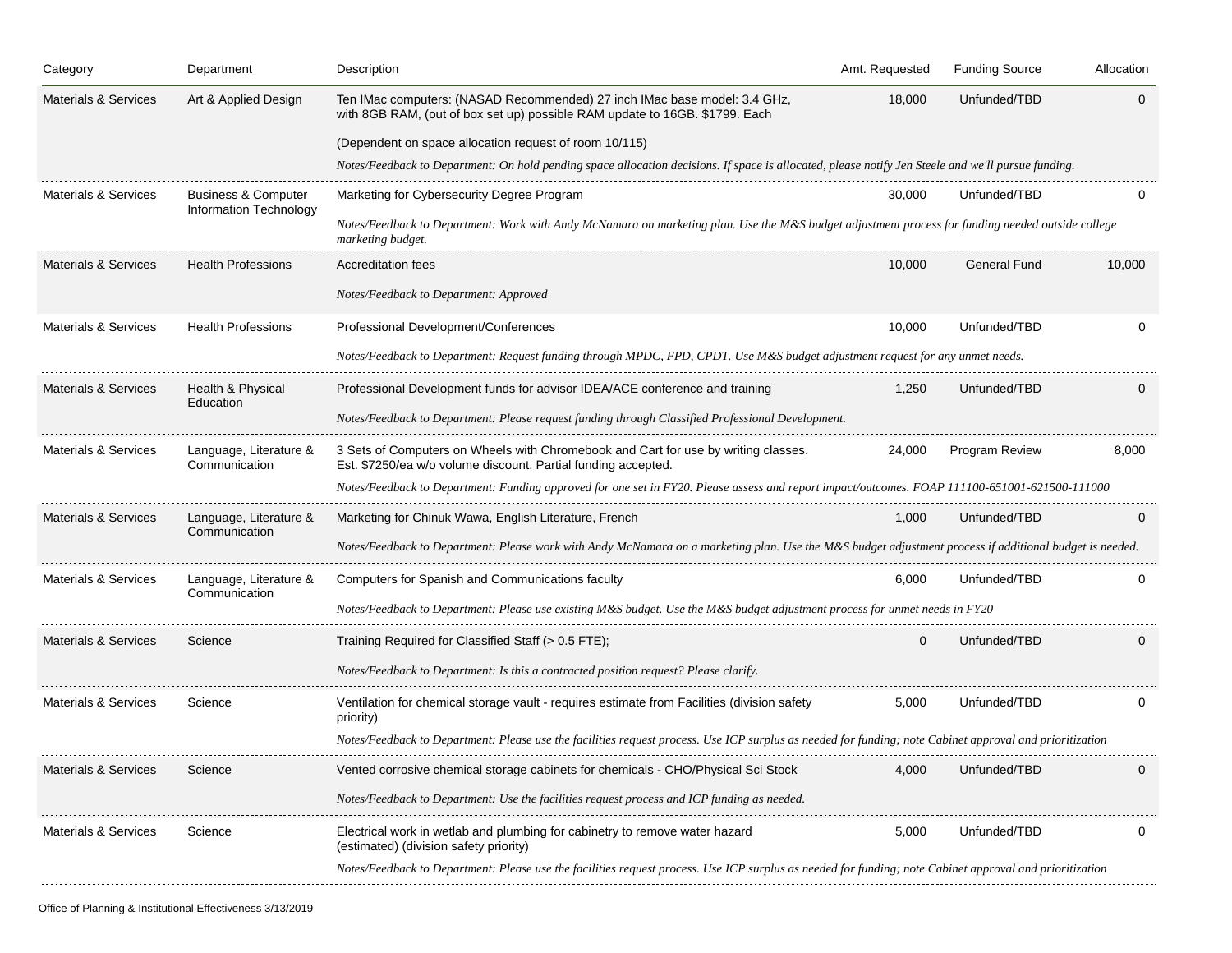| Category                        | Department                                               | Description                                                                                                                                                            | Amt. Requested | <b>Funding Source</b> | Allocation |  |  |  |
|---------------------------------|----------------------------------------------------------|------------------------------------------------------------------------------------------------------------------------------------------------------------------------|----------------|-----------------------|------------|--|--|--|
| <b>Materials &amp; Services</b> | Art & Applied Design                                     | Ten IMac computers: (NASAD Recommended) 27 inch IMac base model: 3.4 GHz,<br>with 8GB RAM, (out of box set up) possible RAM update to 16GB. \$1799. Each               | 18,000         | Unfunded/TBD          | 0          |  |  |  |
|                                 |                                                          | (Dependent on space allocation request of room 10/115)                                                                                                                 |                |                       |            |  |  |  |
|                                 |                                                          | Notes/Feedback to Department: On hold pending space allocation decisions. If space is allocated, please notify Jen Steele and we'll pursue funding.                    |                |                       |            |  |  |  |
| <b>Materials &amp; Services</b> | <b>Business &amp; Computer</b><br>Information Technology | Marketing for Cybersecurity Degree Program                                                                                                                             | 30,000         | Unfunded/TBD          | 0          |  |  |  |
|                                 |                                                          | Notes/Feedback to Department: Work with Andy McNamara on marketing plan. Use the M&S budget adjustment process for funding needed outside college<br>marketing budget. |                |                       |            |  |  |  |
| <b>Materials &amp; Services</b> | <b>Health Professions</b>                                | <b>Accreditation fees</b>                                                                                                                                              | 10,000         | General Fund          | 10,000     |  |  |  |
|                                 |                                                          | Notes/Feedback to Department: Approved                                                                                                                                 |                |                       |            |  |  |  |
| <b>Materials &amp; Services</b> | <b>Health Professions</b>                                | Professional Development/Conferences                                                                                                                                   | 10,000         | Unfunded/TBD          | 0          |  |  |  |
|                                 |                                                          | Notes/Feedback to Department: Request funding through MPDC, FPD, CPDT. Use M&S budget adjustment request for any unmet needs.                                          |                |                       |            |  |  |  |
| <b>Materials &amp; Services</b> | Health & Physical                                        | Professional Development funds for advisor IDEA/ACE conference and training                                                                                            | 1,250          | Unfunded/TBD          |            |  |  |  |
| Education                       |                                                          | Notes/Feedback to Department: Please request funding through Classified Professional Development.                                                                      |                |                       |            |  |  |  |
| <b>Materials &amp; Services</b> | Language, Literature &<br>Communication                  | 3 Sets of Computers on Wheels with Chromebook and Cart for use by writing classes.<br>Est. \$7250/ea w/o volume discount. Partial funding accepted.                    | 24,000         | <b>Program Review</b> | 8,000      |  |  |  |
|                                 |                                                          | Notes/Feedback to Department: Funding approved for one set in FY20. Please assess and report impact/outcomes. FOAP 111100-651001-621500-111000                         |                |                       |            |  |  |  |
| <b>Materials &amp; Services</b> | Language, Literature &<br>Communication                  | Marketing for Chinuk Wawa, English Literature, French                                                                                                                  | 1,000          | Unfunded/TBD          |            |  |  |  |
|                                 |                                                          | Notes/Feedback to Department: Please work with Andy McNamara on a marketing plan. Use the M&S budget adjustment process if additional budget is needed.                |                |                       |            |  |  |  |
| <b>Materials &amp; Services</b> | Language, Literature &                                   | Computers for Spanish and Communications faculty                                                                                                                       | 6,000          | Unfunded/TBD          |            |  |  |  |
|                                 | Communication                                            | Notes/Feedback to Department: Please use existing M&S budget. Use the M&S budget adjustment process for unmet needs in FY20                                            |                |                       |            |  |  |  |
| Materials & Services            | Science                                                  | Training Required for Classified Staff (> 0.5 FTE);                                                                                                                    | $\mathbf 0$    | Unfunded/TBD          | $\Omega$   |  |  |  |
|                                 |                                                          | Notes/Feedback to Department: Is this a contracted position request? Please clarify.                                                                                   |                |                       |            |  |  |  |
| <b>Materials &amp; Services</b> | Science                                                  | Ventilation for chemical storage vault - requires estimate from Facilities (division safety<br>priority)                                                               | 5,000          | Unfunded/TBD          |            |  |  |  |
|                                 |                                                          | Notes/Feedback to Department: Please use the facilities request process. Use ICP surplus as needed for funding; note Cabinet approval and prioritization               |                |                       |            |  |  |  |
| Materials & Services            | Science                                                  | Vented corrosive chemical storage cabinets for chemicals - CHO/Physical Sci Stock                                                                                      | 4,000          | Unfunded/TBD          | $\Omega$   |  |  |  |
|                                 |                                                          | Notes/Feedback to Department: Use the facilities request process and ICP funding as needed.                                                                            |                |                       |            |  |  |  |
| <b>Materials &amp; Services</b> | Science                                                  | Electrical work in wetlab and plumbing for cabinetry to remove water hazard<br>(estimated) (division safety priority)                                                  | 5,000          | Unfunded/TBD          |            |  |  |  |
|                                 |                                                          | Notes/Feedback to Department: Please use the facilities request process. Use ICP surplus as needed for funding; note Cabinet approval and prioritization               |                |                       |            |  |  |  |
|                                 |                                                          |                                                                                                                                                                        |                |                       |            |  |  |  |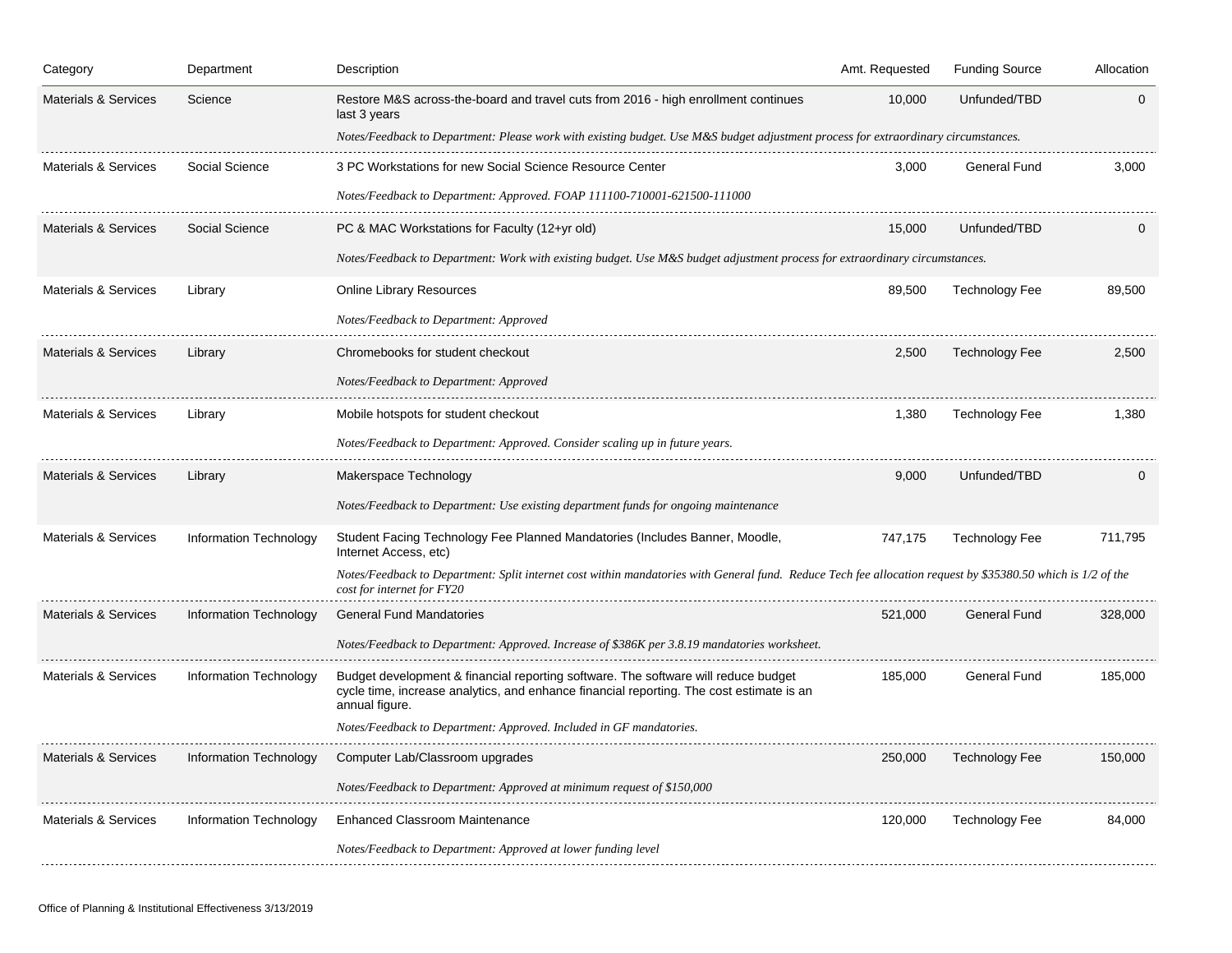| Category                        | Department             | Description                                                                                                                                                                                      | Amt. Requested | <b>Funding Source</b> | Allocation |
|---------------------------------|------------------------|--------------------------------------------------------------------------------------------------------------------------------------------------------------------------------------------------|----------------|-----------------------|------------|
| <b>Materials &amp; Services</b> | Science                | Restore M&S across-the-board and travel cuts from 2016 - high enrollment continues<br>last 3 years                                                                                               | 10,000         | Unfunded/TBD          | $\Omega$   |
|                                 |                        | Notes/Feedback to Department: Please work with existing budget. Use M&S budget adjustment process for extraordinary circumstances.                                                               |                |                       |            |
| <b>Materials &amp; Services</b> | Social Science         | 3 PC Workstations for new Social Science Resource Center                                                                                                                                         | 3,000          | General Fund          | 3,000      |
|                                 |                        | Notes/Feedback to Department: Approved. FOAP 111100-710001-621500-111000                                                                                                                         |                |                       |            |
| <b>Materials &amp; Services</b> | Social Science         | PC & MAC Workstations for Faculty (12+yr old)                                                                                                                                                    | 15,000         | Unfunded/TBD          |            |
|                                 |                        | Notes/Feedback to Department: Work with existing budget. Use M&S budget adjustment process for extraordinary circumstances.                                                                      |                |                       |            |
| <b>Materials &amp; Services</b> | Library                | <b>Online Library Resources</b>                                                                                                                                                                  | 89,500         | <b>Technology Fee</b> | 89,500     |
|                                 |                        | Notes/Feedback to Department: Approved                                                                                                                                                           |                |                       |            |
| <b>Materials &amp; Services</b> | Library                | Chromebooks for student checkout                                                                                                                                                                 | 2,500          | <b>Technology Fee</b> | 2,500      |
|                                 |                        | Notes/Feedback to Department: Approved                                                                                                                                                           |                |                       |            |
| Materials & Services            | Library                | Mobile hotspots for student checkout                                                                                                                                                             | 1,380          | <b>Technology Fee</b> | 1,380      |
|                                 |                        | Notes/Feedback to Department: Approved. Consider scaling up in future years.                                                                                                                     |                |                       |            |
| <b>Materials &amp; Services</b> | Library                | Makerspace Technology                                                                                                                                                                            | 9,000          | Unfunded/TBD          | ∩          |
|                                 |                        | Notes/Feedback to Department: Use existing department funds for ongoing maintenance                                                                                                              |                |                       |            |
| <b>Materials &amp; Services</b> | Information Technology | Student Facing Technology Fee Planned Mandatories (Includes Banner, Moodle,<br>Internet Access, etc)                                                                                             | 747,175        | <b>Technology Fee</b> | 711,795    |
|                                 |                        | Notes/Feedback to Department: Split internet cost within mandatories with General fund. Reduce Tech fee allocation request by \$35380.50 which is 1/2 of the<br>cost for internet for FY20       |                |                       |            |
| <b>Materials &amp; Services</b> | Information Technology | <b>General Fund Mandatories</b>                                                                                                                                                                  | 521,000        | <b>General Fund</b>   | 328,000    |
|                                 |                        | Notes/Feedback to Department: Approved. Increase of \$386K per 3.8.19 mandatories worksheet.                                                                                                     |                |                       |            |
| <b>Materials &amp; Services</b> | Information Technology | Budget development & financial reporting software. The software will reduce budget<br>cycle time, increase analytics, and enhance financial reporting. The cost estimate is an<br>annual figure. | 185,000        | General Fund          | 185,000    |
|                                 |                        | Notes/Feedback to Department: Approved. Included in GF mandatories.                                                                                                                              |                |                       |            |
| <b>Materials &amp; Services</b> | Information Technology | Computer Lab/Classroom upgrades                                                                                                                                                                  | 250,000        | <b>Technology Fee</b> | 150,000    |
|                                 |                        | Notes/Feedback to Department: Approved at minimum request of \$150,000                                                                                                                           |                |                       |            |
| <b>Materials &amp; Services</b> | Information Technology | <b>Enhanced Classroom Maintenance</b>                                                                                                                                                            | 120,000        | <b>Technology Fee</b> | 84,000     |
|                                 |                        | Notes/Feedback to Department: Approved at lower funding level                                                                                                                                    |                |                       |            |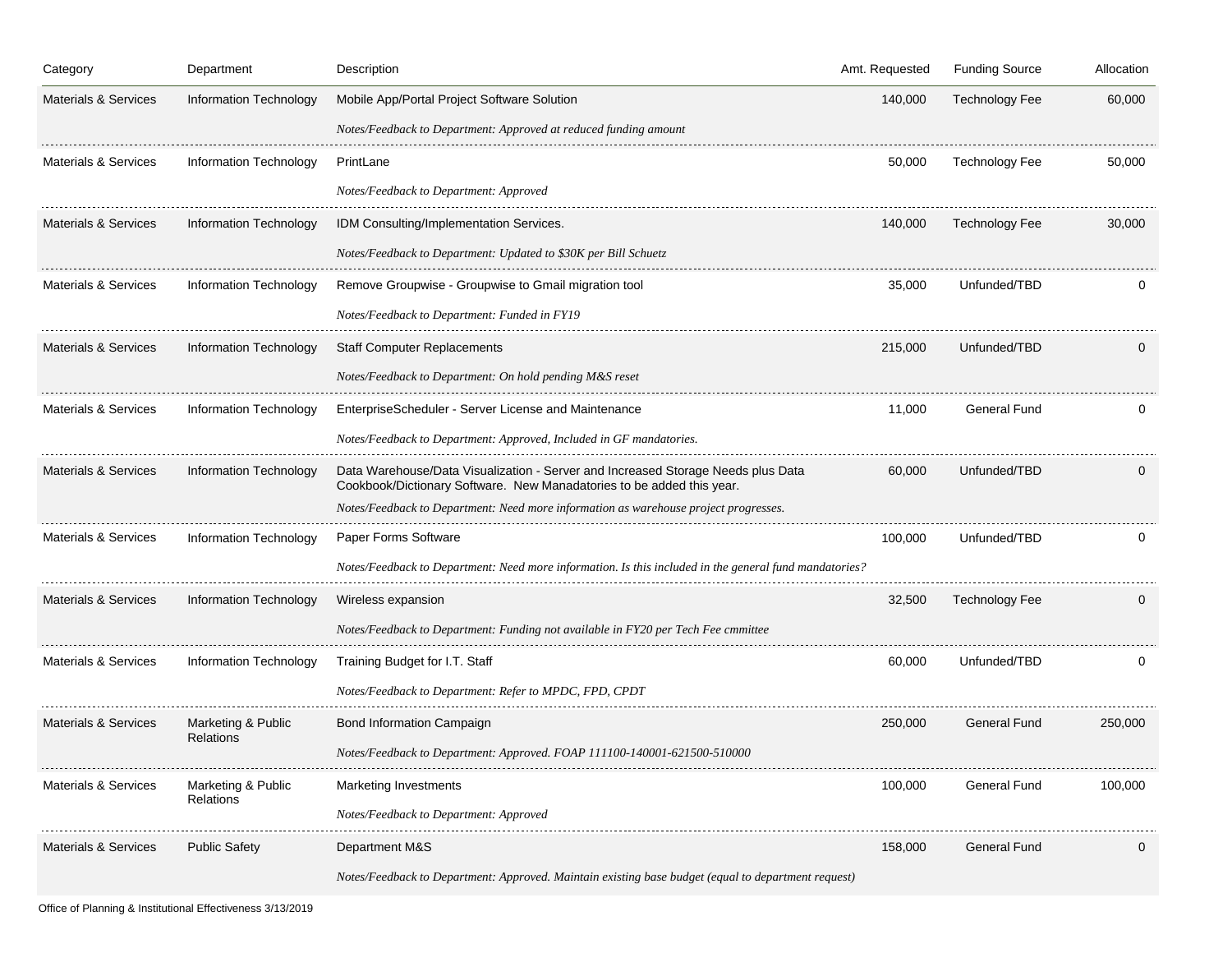| Category                        | Department                             | Description                                                                                                                                               | Amt. Requested | <b>Funding Source</b> | Allocation |
|---------------------------------|----------------------------------------|-----------------------------------------------------------------------------------------------------------------------------------------------------------|----------------|-----------------------|------------|
| <b>Materials &amp; Services</b> | Information Technology                 | Mobile App/Portal Project Software Solution                                                                                                               | 140,000        | <b>Technology Fee</b> | 60,000     |
|                                 |                                        | Notes/Feedback to Department: Approved at reduced funding amount                                                                                          |                |                       |            |
| <b>Materials &amp; Services</b> | Information Technology                 | PrintLane                                                                                                                                                 | 50,000         | <b>Technology Fee</b> | 50,000     |
|                                 |                                        | Notes/Feedback to Department: Approved                                                                                                                    |                |                       |            |
| <b>Materials &amp; Services</b> | <b>Information Technology</b>          | IDM Consulting/Implementation Services.                                                                                                                   | 140,000        | <b>Technology Fee</b> | 30,000     |
|                                 |                                        | Notes/Feedback to Department: Updated to \$30K per Bill Schuetz                                                                                           |                |                       |            |
| Materials & Services            | Information Technology                 | Remove Groupwise - Groupwise to Gmail migration tool                                                                                                      | 35,000         | Unfunded/TBD          |            |
|                                 |                                        | Notes/Feedback to Department: Funded in FY19                                                                                                              |                |                       |            |
| <b>Materials &amp; Services</b> | <b>Information Technology</b>          | <b>Staff Computer Replacements</b>                                                                                                                        | 215,000        | Unfunded/TBD          |            |
|                                 |                                        | Notes/Feedback to Department: On hold pending M&S reset                                                                                                   |                |                       |            |
| <b>Materials &amp; Services</b> | Information Technology                 | EnterpriseScheduler - Server License and Maintenance                                                                                                      | 11,000         | General Fund          |            |
|                                 |                                        | Notes/Feedback to Department: Approved, Included in GF mandatories.                                                                                       |                |                       |            |
| Materials & Services            | Information Technology                 | Data Warehouse/Data Visualization - Server and Increased Storage Needs plus Data<br>Cookbook/Dictionary Software. New Manadatories to be added this year. | 60,000         | Unfunded/TBD          |            |
|                                 |                                        | Notes/Feedback to Department: Need more information as warehouse project progresses.                                                                      |                |                       |            |
| <b>Materials &amp; Services</b> | Information Technology                 | Paper Forms Software                                                                                                                                      | 100,000        | Unfunded/TBD          |            |
|                                 |                                        | Notes/Feedback to Department: Need more information. Is this included in the general fund mandatories?                                                    |                |                       |            |
| Materials & Services            | Information Technology                 | Wireless expansion                                                                                                                                        | 32,500         | <b>Technology Fee</b> |            |
|                                 |                                        | Notes/Feedback to Department: Funding not available in FY20 per Tech Fee cmmittee                                                                         |                |                       |            |
| <b>Materials &amp; Services</b> | Information Technology                 | Training Budget for I.T. Staff                                                                                                                            | 60,000         | Unfunded/TBD          |            |
|                                 |                                        | Notes/Feedback to Department: Refer to MPDC, FPD, CPDT                                                                                                    |                |                       |            |
| Materials & Services            | Marketing & Public<br><b>Relations</b> | Bond Information Campaign                                                                                                                                 | 250,000        | General Fund          | 250,000    |
|                                 |                                        | Notes/Feedback to Department: Approved. FOAP 111100-140001-621500-510000                                                                                  |                |                       |            |
| Materials & Services            | Marketing & Public                     | <b>Marketing Investments</b>                                                                                                                              | 100,000        | General Fund          | 100,000    |
|                                 | Relations                              | Notes/Feedback to Department: Approved                                                                                                                    |                |                       |            |
| <b>Materials &amp; Services</b> | <b>Public Safety</b>                   | Department M&S                                                                                                                                            | 158,000        | General Fund          |            |
|                                 |                                        | Notes/Feedback to Department: Approved. Maintain existing base budget (equal to department request)                                                       |                |                       |            |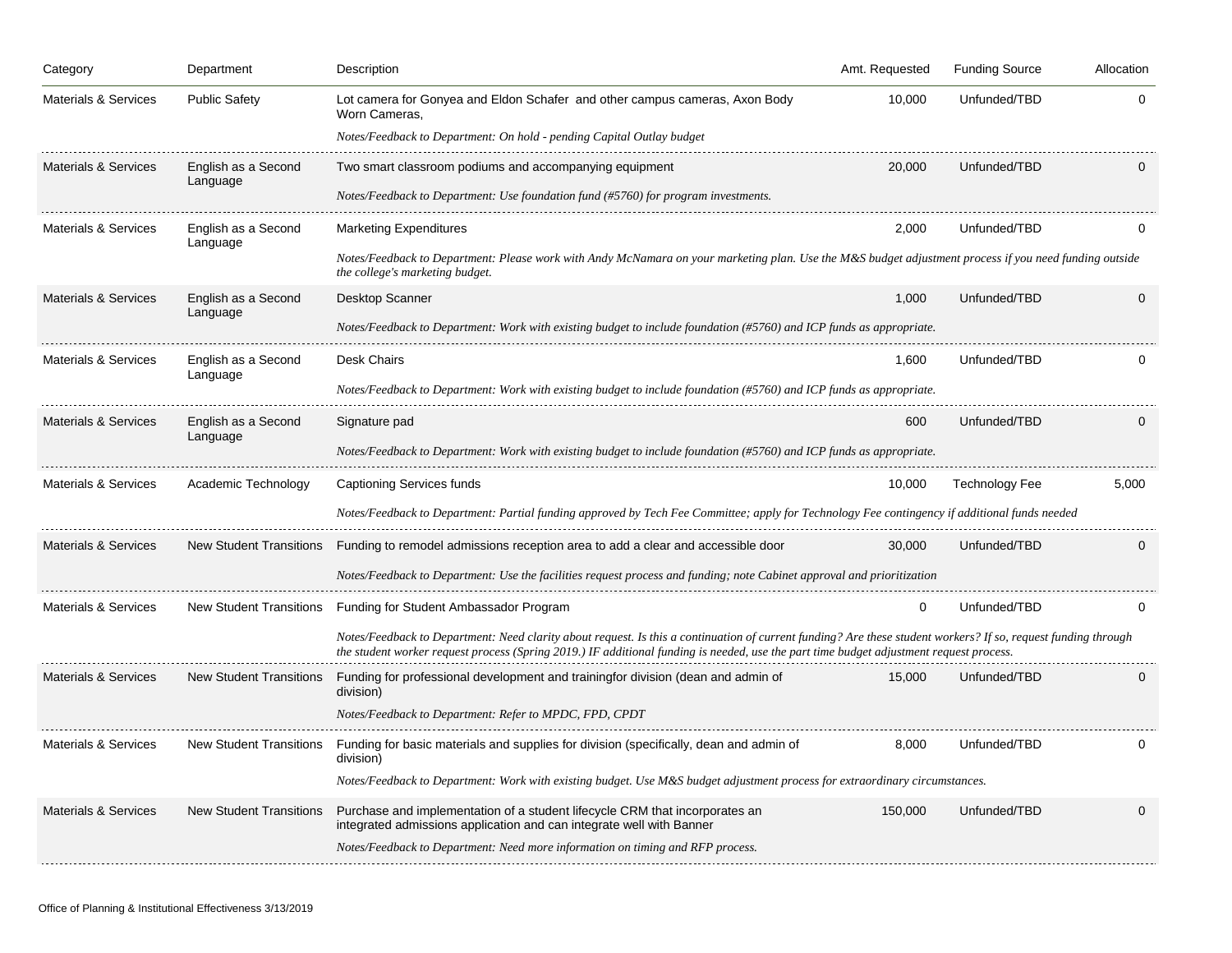| Category                        | Department                      | Description                                                                                                                                                                                                                                                                                               | Amt. Requested | <b>Funding Source</b> | Allocation |  |  |
|---------------------------------|---------------------------------|-----------------------------------------------------------------------------------------------------------------------------------------------------------------------------------------------------------------------------------------------------------------------------------------------------------|----------------|-----------------------|------------|--|--|
| <b>Materials &amp; Services</b> | <b>Public Safety</b>            | Lot camera for Gonyea and Eldon Schafer and other campus cameras, Axon Body<br>Worn Cameras,                                                                                                                                                                                                              | 10,000         | Unfunded/TBD          | $\Omega$   |  |  |
|                                 |                                 | Notes/Feedback to Department: On hold - pending Capital Outlay budget                                                                                                                                                                                                                                     |                |                       |            |  |  |
| <b>Materials &amp; Services</b> | English as a Second             | Two smart classroom podiums and accompanying equipment                                                                                                                                                                                                                                                    | 20,000         | Unfunded/TBD          |            |  |  |
|                                 | Language                        | Notes/Feedback to Department: Use foundation fund (#5760) for program investments.                                                                                                                                                                                                                        |                |                       |            |  |  |
| Materials & Services            | English as a Second<br>Language | <b>Marketing Expenditures</b>                                                                                                                                                                                                                                                                             | 2,000          | Unfunded/TBD          |            |  |  |
|                                 |                                 | Notes/Feedback to Department: Please work with Andy McNamara on your marketing plan. Use the M&S budget adjustment process if you need funding outside<br>the college's marketing budget.                                                                                                                 |                |                       |            |  |  |
| <b>Materials &amp; Services</b> | English as a Second<br>Language | Desktop Scanner                                                                                                                                                                                                                                                                                           | 1,000          | Unfunded/TBD          | $\Omega$   |  |  |
|                                 |                                 | Notes/Feedback to Department: Work with existing budget to include foundation (#5760) and ICP funds as appropriate.                                                                                                                                                                                       |                |                       |            |  |  |
| <b>Materials &amp; Services</b> | English as a Second<br>Language | Desk Chairs                                                                                                                                                                                                                                                                                               | 1,600          | Unfunded/TBD          | 0          |  |  |
|                                 |                                 | Notes/Feedback to Department: Work with existing budget to include foundation (#5760) and ICP funds as appropriate.                                                                                                                                                                                       |                |                       |            |  |  |
| <b>Materials &amp; Services</b> | English as a Second             | Signature pad                                                                                                                                                                                                                                                                                             | 600            | Unfunded/TBD          | 0          |  |  |
|                                 | Language                        | Notes/Feedback to Department: Work with existing budget to include foundation (#5760) and ICP funds as appropriate.                                                                                                                                                                                       |                |                       |            |  |  |
| <b>Materials &amp; Services</b> | Academic Technology             | <b>Captioning Services funds</b>                                                                                                                                                                                                                                                                          | 10,000         | <b>Technology Fee</b> | 5,000      |  |  |
|                                 |                                 | Notes/Feedback to Department: Partial funding approved by Tech Fee Committee; apply for Technology Fee contingency if additional funds needed                                                                                                                                                             |                |                       |            |  |  |
| <b>Materials &amp; Services</b> | New Student Transitions         | Funding to remodel admissions reception area to add a clear and accessible door                                                                                                                                                                                                                           | 30,000         | Unfunded/TBD          | 0          |  |  |
|                                 |                                 | Notes/Feedback to Department: Use the facilities request process and funding; note Cabinet approval and prioritization                                                                                                                                                                                    |                |                       |            |  |  |
| <b>Materials &amp; Services</b> |                                 | New Student Transitions Funding for Student Ambassador Program                                                                                                                                                                                                                                            |                | Unfunded/TBD          |            |  |  |
|                                 |                                 | Notes/Feedback to Department: Need clarity about request. Is this a continuation of current funding? Are these student workers? If so, request funding through<br>the student worker request process (Spring 2019.) IF additional funding is needed, use the part time budget adjustment request process. |                |                       |            |  |  |
| <b>Materials &amp; Services</b> | <b>New Student Transitions</b>  | Funding for professional development and trainingfor division (dean and admin of<br>division)                                                                                                                                                                                                             | 15,000         | Unfunded/TBD          | $\Omega$   |  |  |
|                                 |                                 | Notes/Feedback to Department: Refer to MPDC, FPD, CPDT                                                                                                                                                                                                                                                    |                |                       |            |  |  |
| <b>Materials &amp; Services</b> | <b>New Student Transitions</b>  | Funding for basic materials and supplies for division (specifically, dean and admin of<br>division)                                                                                                                                                                                                       | 8,000          | Unfunded/TBD          | 0          |  |  |
|                                 |                                 | Notes/Feedback to Department: Work with existing budget. Use M&S budget adjustment process for extraordinary circumstances.                                                                                                                                                                               |                |                       |            |  |  |
| <b>Materials &amp; Services</b> | <b>New Student Transitions</b>  | Purchase and implementation of a student lifecycle CRM that incorporates an<br>integrated admissions application and can integrate well with Banner                                                                                                                                                       | 150,000        | Unfunded/TBD          | $\Omega$   |  |  |
|                                 |                                 | Notes/Feedback to Department: Need more information on timing and RFP process.                                                                                                                                                                                                                            |                |                       |            |  |  |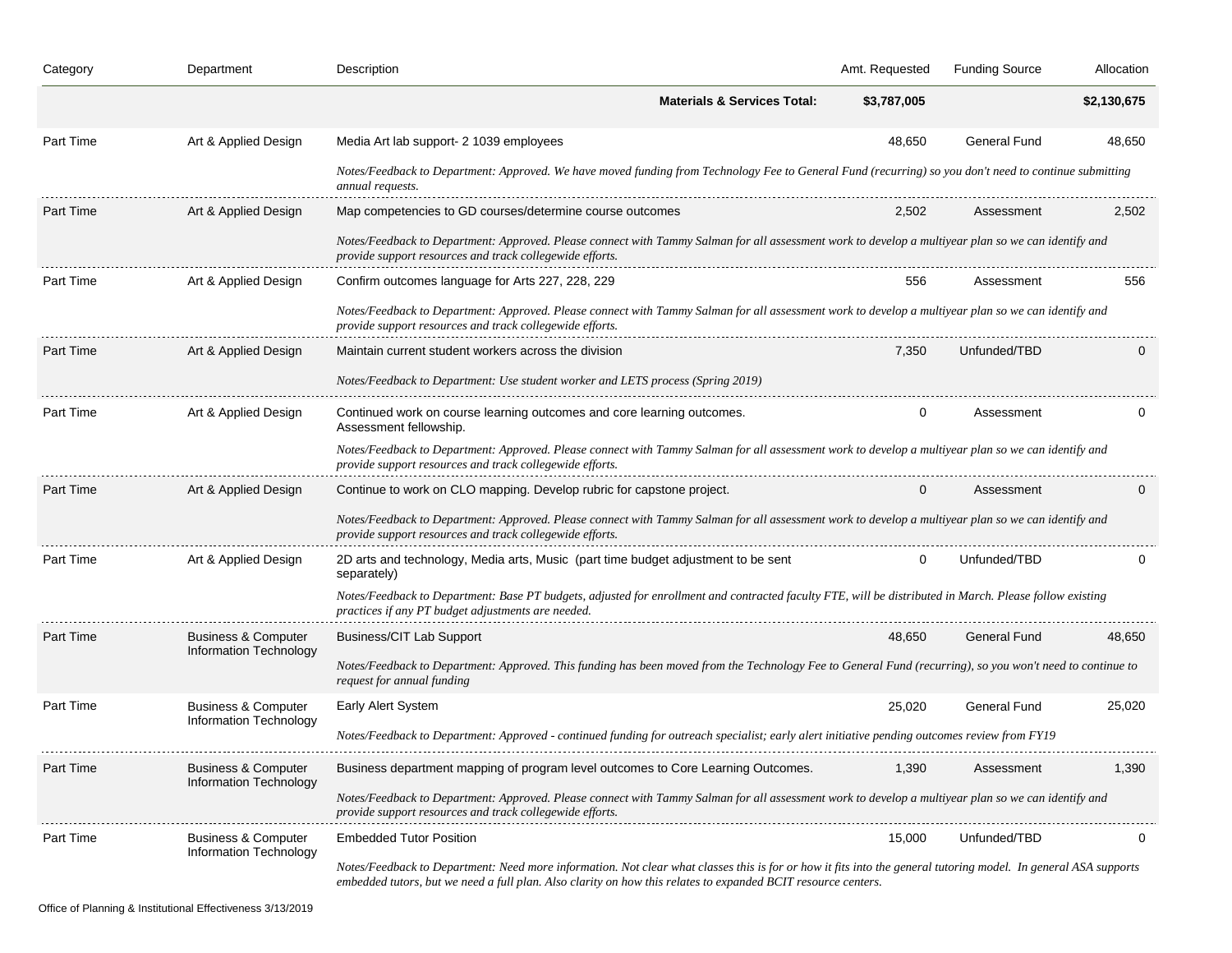| Category         | Department                                                      | Description                                                                                                                                                                                                                                                                      | Amt. Requested | <b>Funding Source</b> | Allocation  |  |  |
|------------------|-----------------------------------------------------------------|----------------------------------------------------------------------------------------------------------------------------------------------------------------------------------------------------------------------------------------------------------------------------------|----------------|-----------------------|-------------|--|--|
|                  |                                                                 | <b>Materials &amp; Services Total:</b>                                                                                                                                                                                                                                           | \$3,787,005    |                       | \$2,130,675 |  |  |
| Part Time        | Art & Applied Design                                            | Media Art lab support- 2 1039 employees                                                                                                                                                                                                                                          | 48,650         | <b>General Fund</b>   | 48,650      |  |  |
|                  |                                                                 | Notes/Feedback to Department: Approved. We have moved funding from Technology Fee to General Fund (recurring) so you don't need to continue submitting<br>annual requests.                                                                                                       |                |                       |             |  |  |
| Part Time        | Art & Applied Design                                            | Map competencies to GD courses/determine course outcomes                                                                                                                                                                                                                         | 2,502          | Assessment            | 2,502       |  |  |
|                  |                                                                 | Notes/Feedback to Department: Approved. Please connect with Tammy Salman for all assessment work to develop a multiyear plan so we can identify and<br>provide support resources and track collegewide efforts.                                                                  |                |                       |             |  |  |
| Part Time        | Art & Applied Design                                            | Confirm outcomes language for Arts 227, 228, 229                                                                                                                                                                                                                                 | 556            | Assessment            | 556         |  |  |
|                  |                                                                 | Notes/Feedback to Department: Approved. Please connect with Tammy Salman for all assessment work to develop a multiyear plan so we can identify and<br>provide support resources and track collegewide efforts.                                                                  |                |                       |             |  |  |
| Part Time        | Art & Applied Design                                            | Maintain current student workers across the division                                                                                                                                                                                                                             | 7,350          | Unfunded/TBD          |             |  |  |
|                  |                                                                 | Notes/Feedback to Department: Use student worker and LETS process (Spring 2019)                                                                                                                                                                                                  |                |                       |             |  |  |
| Part Time        | Art & Applied Design                                            | Continued work on course learning outcomes and core learning outcomes.<br>Assessment fellowship.                                                                                                                                                                                 | 0              | Assessment            |             |  |  |
|                  |                                                                 | Notes/Feedback to Department: Approved. Please connect with Tammy Salman for all assessment work to develop a multiyear plan so we can identify and<br>provide support resources and track collegewide efforts.                                                                  |                |                       |             |  |  |
| <b>Part Time</b> | Art & Applied Design                                            | Continue to work on CLO mapping. Develop rubric for capstone project.                                                                                                                                                                                                            | 0              | Assessment            | 0           |  |  |
|                  |                                                                 | Notes/Feedback to Department: Approved. Please connect with Tammy Salman for all assessment work to develop a multiyear plan so we can identify and<br>provide support resources and track collegewide efforts.                                                                  |                |                       |             |  |  |
| Part Time        | Art & Applied Design                                            | 2D arts and technology, Media arts, Music (part time budget adjustment to be sent<br>separately)                                                                                                                                                                                 | 0              | Unfunded/TBD          |             |  |  |
|                  |                                                                 | Notes/Feedback to Department: Base PT budgets, adjusted for enrollment and contracted faculty FTE, will be distributed in March. Please follow existing<br>practices if any PT budget adjustments are needed.                                                                    |                |                       |             |  |  |
| Part Time        | <b>Business &amp; Computer</b><br>Information Technology        | Business/CIT Lab Support                                                                                                                                                                                                                                                         | 48,650         | General Fund          | 48,650      |  |  |
|                  |                                                                 | Notes/Feedback to Department: Approved. This funding has been moved from the Technology Fee to General Fund (recurring), so you won't need to continue to<br>request for annual funding                                                                                          |                |                       |             |  |  |
| Part Time        | <b>Business &amp; Computer</b><br>Information Technology        | Early Alert System                                                                                                                                                                                                                                                               | 25,020         | <b>General Fund</b>   | 25,020      |  |  |
|                  |                                                                 | Notes/Feedback to Department: Approved - continued funding for outreach specialist; early alert initiative pending outcomes review from FY19                                                                                                                                     |                |                       |             |  |  |
| Part Time        | <b>Business &amp; Computer</b><br><b>Information Technology</b> | Business department mapping of program level outcomes to Core Learning Outcomes.                                                                                                                                                                                                 | 1,390          | Assessment            | 1,390       |  |  |
|                  |                                                                 | Notes/Feedback to Department: Approved. Please connect with Tammy Salman for all assessment work to develop a multiyear plan so we can identify and<br>provide support resources and track collegewide efforts.                                                                  |                |                       |             |  |  |
| Part Time        | <b>Business &amp; Computer</b><br>Information Technology        | <b>Embedded Tutor Position</b>                                                                                                                                                                                                                                                   | 15,000         | Unfunded/TBD          | 0           |  |  |
|                  |                                                                 | Notes/Feedback to Department: Need more information. Not clear what classes this is for or how it fits into the general tutoring model. In general ASA supports<br>embedded tutors, but we need a full plan. Also clarity on how this relates to expanded BCIT resource centers. |                |                       |             |  |  |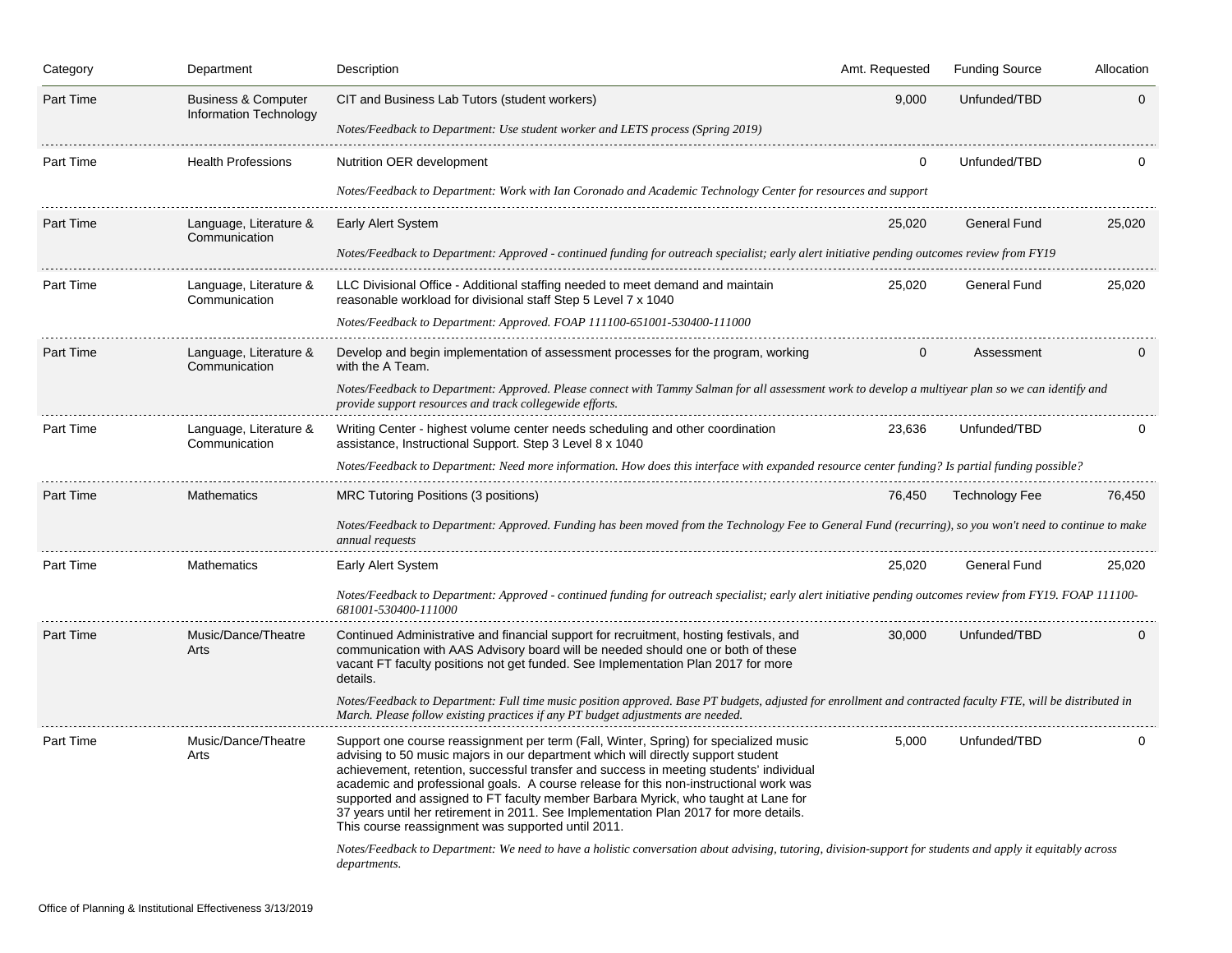| Category         | Department                                               | Description                                                                                                                                                                                                                                                                                                                                                                                                                                                                                                                                                                                         | Amt. Requested | <b>Funding Source</b> | Allocation |
|------------------|----------------------------------------------------------|-----------------------------------------------------------------------------------------------------------------------------------------------------------------------------------------------------------------------------------------------------------------------------------------------------------------------------------------------------------------------------------------------------------------------------------------------------------------------------------------------------------------------------------------------------------------------------------------------------|----------------|-----------------------|------------|
| Part Time        | <b>Business &amp; Computer</b><br>Information Technology | CIT and Business Lab Tutors (student workers)                                                                                                                                                                                                                                                                                                                                                                                                                                                                                                                                                       | 9,000          | Unfunded/TBD          | $\Omega$   |
|                  |                                                          | Notes/Feedback to Department: Use student worker and LETS process (Spring 2019)                                                                                                                                                                                                                                                                                                                                                                                                                                                                                                                     |                |                       |            |
| Part Time        | Health Professions                                       | Nutrition OER development                                                                                                                                                                                                                                                                                                                                                                                                                                                                                                                                                                           |                | Unfunded/TBD          |            |
|                  |                                                          | Notes/Feedback to Department: Work with Ian Coronado and Academic Technology Center for resources and support                                                                                                                                                                                                                                                                                                                                                                                                                                                                                       |                |                       |            |
| Part Time        | Language, Literature &<br>Communication                  | <b>Early Alert System</b>                                                                                                                                                                                                                                                                                                                                                                                                                                                                                                                                                                           | 25,020         | <b>General Fund</b>   | 25,020     |
|                  |                                                          | Notes/Feedback to Department: Approved - continued funding for outreach specialist; early alert initiative pending outcomes review from FY19                                                                                                                                                                                                                                                                                                                                                                                                                                                        |                |                       |            |
| Part Time        | Language, Literature &<br>Communication                  | LLC Divisional Office - Additional staffing needed to meet demand and maintain<br>reasonable workload for divisional staff Step 5 Level 7 x 1040                                                                                                                                                                                                                                                                                                                                                                                                                                                    | 25,020         | General Fund          | 25,020     |
|                  |                                                          | Notes/Feedback to Department: Approved. FOAP 111100-651001-530400-111000                                                                                                                                                                                                                                                                                                                                                                                                                                                                                                                            |                |                       |            |
| <b>Part Time</b> | Language, Literature &<br>Communication                  | Develop and begin implementation of assessment processes for the program, working<br>with the A Team.                                                                                                                                                                                                                                                                                                                                                                                                                                                                                               | $\mathbf{0}$   | Assessment            | $\Omega$   |
|                  |                                                          | Notes/Feedback to Department: Approved. Please connect with Tammy Salman for all assessment work to develop a multiyear plan so we can identify and<br>provide support resources and track collegewide efforts.                                                                                                                                                                                                                                                                                                                                                                                     |                |                       |            |
| Part Time        | Language, Literature &<br>Communication                  | Writing Center - highest volume center needs scheduling and other coordination<br>assistance, Instructional Support. Step 3 Level 8 x 1040                                                                                                                                                                                                                                                                                                                                                                                                                                                          | 23,636         | Unfunded/TBD          | 0          |
|                  |                                                          | Notes/Feedback to Department: Need more information. How does this interface with expanded resource center funding? Is partial funding possible?                                                                                                                                                                                                                                                                                                                                                                                                                                                    |                |                       |            |
| Part Time        | <b>Mathematics</b>                                       | MRC Tutoring Positions (3 positions)                                                                                                                                                                                                                                                                                                                                                                                                                                                                                                                                                                | 76,450         | Technology Fee        | 76,450     |
|                  |                                                          | Notes/Feedback to Department: Approved. Funding has been moved from the Technology Fee to General Fund (recurring), so you won't need to continue to make<br>annual requests                                                                                                                                                                                                                                                                                                                                                                                                                        |                |                       |            |
| Part Time        | <b>Mathematics</b>                                       | Early Alert System                                                                                                                                                                                                                                                                                                                                                                                                                                                                                                                                                                                  | 25,020         | <b>General Fund</b>   | 25,020     |
|                  |                                                          | Notes/Feedback to Department: Approved - continued funding for outreach specialist; early alert initiative pending outcomes review from FY19. FOAP 111100-<br>681001-530400-111000                                                                                                                                                                                                                                                                                                                                                                                                                  |                |                       |            |
| Part Time        | Music/Dance/Theatre<br>Arts                              | Continued Administrative and financial support for recruitment, hosting festivals, and<br>communication with AAS Advisory board will be needed should one or both of these<br>vacant FT faculty positions not get funded. See Implementation Plan 2017 for more<br>details.                                                                                                                                                                                                                                                                                                                         | 30,000         | Unfunded/TBD          |            |
|                  |                                                          | Notes/Feedback to Department: Full time music position approved. Base PT budgets, adjusted for enrollment and contracted faculty FTE, will be distributed in<br>March. Please follow existing practices if any PT budget adjustments are needed.                                                                                                                                                                                                                                                                                                                                                    |                |                       |            |
| Part Time        | Music/Dance/Theatre<br>Arts                              | Support one course reassignment per term (Fall, Winter, Spring) for specialized music<br>advising to 50 music majors in our department which will directly support student<br>achievement, retention, successful transfer and success in meeting students' individual<br>academic and professional goals. A course release for this non-instructional work was<br>supported and assigned to FT faculty member Barbara Myrick, who taught at Lane for<br>37 years until her retirement in 2011. See Implementation Plan 2017 for more details.<br>This course reassignment was supported until 2011. | 5,000          | Unfunded/TBD          |            |
|                  |                                                          | Notes/Feedback to Department: We need to have a holistic conversation about advising, tutoring, division-support for students and apply it equitably across<br>departments.                                                                                                                                                                                                                                                                                                                                                                                                                         |                |                       |            |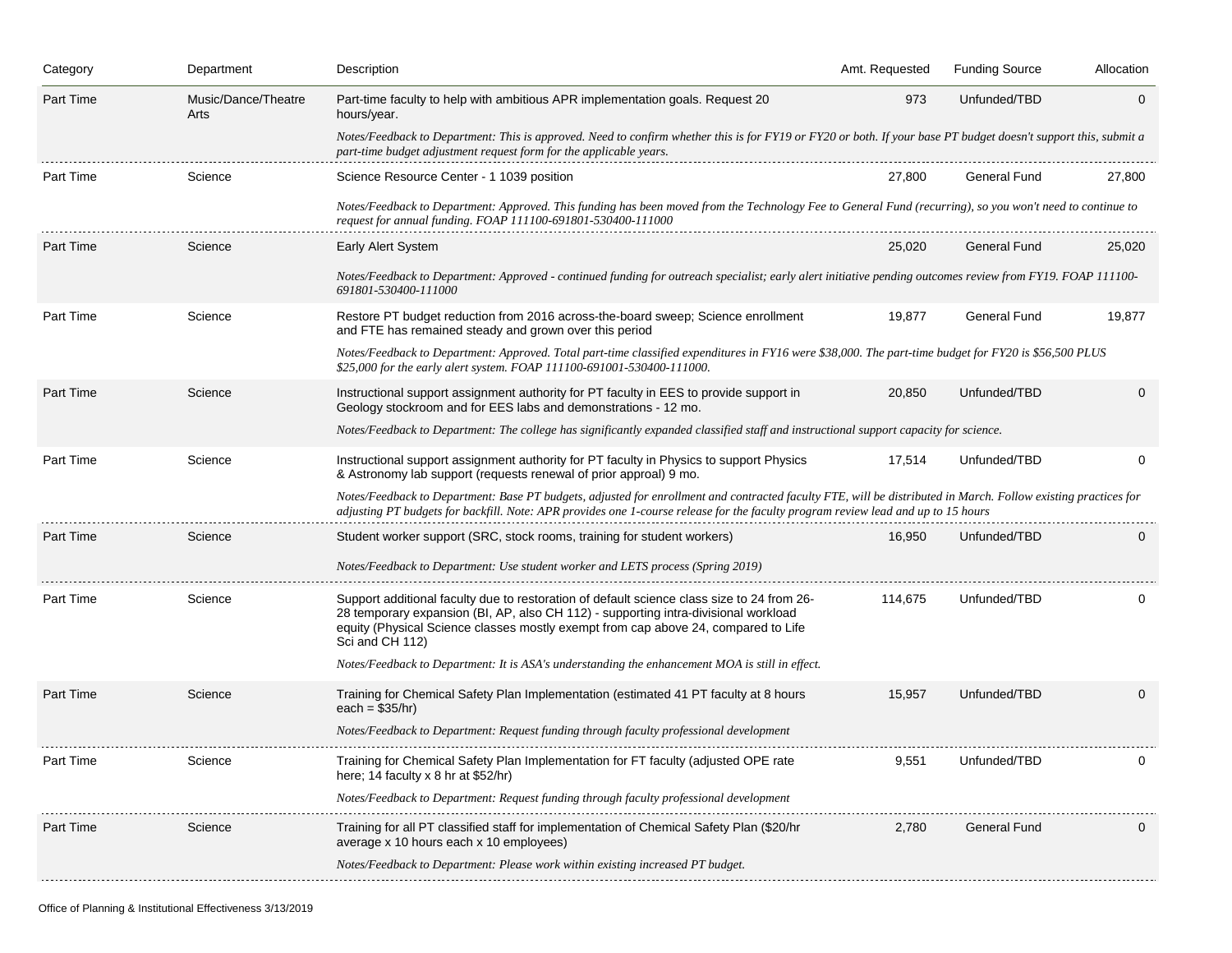| Category  | Department                  | Description                                                                                                                                                                                                                                                                                         | Amt. Requested | <b>Funding Source</b> | Allocation |
|-----------|-----------------------------|-----------------------------------------------------------------------------------------------------------------------------------------------------------------------------------------------------------------------------------------------------------------------------------------------------|----------------|-----------------------|------------|
| Part Time | Music/Dance/Theatre<br>Arts | Part-time faculty to help with ambitious APR implementation goals. Request 20<br>hours/year.                                                                                                                                                                                                        | 973            | Unfunded/TBD          | 0          |
|           |                             | Notes/Feedback to Department: This is approved. Need to confirm whether this is for FY19 or FY20 or both. If your base PT budget doesn't support this, submit a                                                                                                                                     |                |                       |            |
| Part Time | Science                     | Science Resource Center - 1 1039 position                                                                                                                                                                                                                                                           | 27,800         | General Fund          | 27,800     |
|           |                             | Notes/Feedback to Department: Approved. This funding has been moved from the Technology Fee to General Fund (recurring), so you won't need to continue to<br>request for annual funding. FOAP 111100-691801-530400-111000                                                                           |                |                       |            |
| Part Time | Science                     | Early Alert System                                                                                                                                                                                                                                                                                  | 25,020         | <b>General Fund</b>   | 25,020     |
|           |                             | Notes/Feedback to Department: Approved - continued funding for outreach specialist; early alert initiative pending outcomes review from FY19. FOAP 111100-<br>691801-530400-111000                                                                                                                  |                |                       |            |
| Part Time | Science                     | Restore PT budget reduction from 2016 across-the-board sweep; Science enrollment<br>and FTE has remained steady and grown over this period                                                                                                                                                          | 19,877         | General Fund          | 19,877     |
|           |                             | Notes/Feedback to Department: Approved. Total part-time classified expenditures in FY16 were \$38,000. The part-time budget for FY20 is \$56,500 PLUS<br>\$25,000 for the early alert system. FOAP 111100-691001-530400-111000.                                                                     |                |                       |            |
| Part Time | Science                     | Instructional support assignment authority for PT faculty in EES to provide support in<br>Geology stockroom and for EES labs and demonstrations - 12 mo.                                                                                                                                            | 20,850         | Unfunded/TBD          | $\Omega$   |
|           |                             | Notes/Feedback to Department: The college has significantly expanded classified staff and instructional support capacity for science.                                                                                                                                                               |                |                       |            |
| Part Time | Science                     | Instructional support assignment authority for PT faculty in Physics to support Physics<br>& Astronomy lab support (requests renewal of prior approal) 9 mo.                                                                                                                                        | 17,514         | Unfunded/TBD          | 0          |
|           |                             | Notes/Feedback to Department: Base PT budgets, adjusted for enrollment and contracted faculty FTE, will be distributed in March. Follow existing practices for<br>adjusting PT budgets for backfill. Note: APR provides one 1-course release for the faculty program review lead and up to 15 hours |                |                       |            |
| Part Time | Science                     | Student worker support (SRC, stock rooms, training for student workers)                                                                                                                                                                                                                             | 16,950         | Unfunded/TBD          | 0          |
|           |                             | Notes/Feedback to Department: Use student worker and LETS process (Spring 2019)                                                                                                                                                                                                                     |                |                       |            |
| Part Time | Science                     | Support additional faculty due to restoration of default science class size to 24 from 26-<br>28 temporary expansion (BI, AP, also CH 112) - supporting intra-divisional workload<br>equity (Physical Science classes mostly exempt from cap above 24, compared to Life<br>Sci and CH 112)          | 114,675        | Unfunded/TBD          | 0          |
|           |                             | Notes/Feedback to Department: It is ASA's understanding the enhancement MOA is still in effect.                                                                                                                                                                                                     |                |                       |            |
| Part Time | Science                     | Training for Chemical Safety Plan Implementation (estimated 41 PT faculty at 8 hours<br>each = $$35/hr$ )                                                                                                                                                                                           | 15,957         | Unfunded/TBD          | 0          |
|           |                             | Notes/Feedback to Department: Request funding through faculty professional development                                                                                                                                                                                                              |                |                       |            |
| Part Time | Science                     | Training for Chemical Safety Plan Implementation for FT faculty (adjusted OPE rate<br>here; 14 faculty x 8 hr at \$52/hr)                                                                                                                                                                           | 9,551          | Unfunded/IBD          |            |
|           |                             | Notes/Feedback to Department: Request funding through faculty professional development                                                                                                                                                                                                              |                |                       |            |
| Part Time | Science                     | Training for all PT classified staff for implementation of Chemical Safety Plan (\$20/hr<br>average x 10 hours each x 10 employees)                                                                                                                                                                 | 2,780          | <b>General Fund</b>   |            |
|           |                             | Notes/Feedback to Department: Please work within existing increased PT budget.                                                                                                                                                                                                                      |                |                       |            |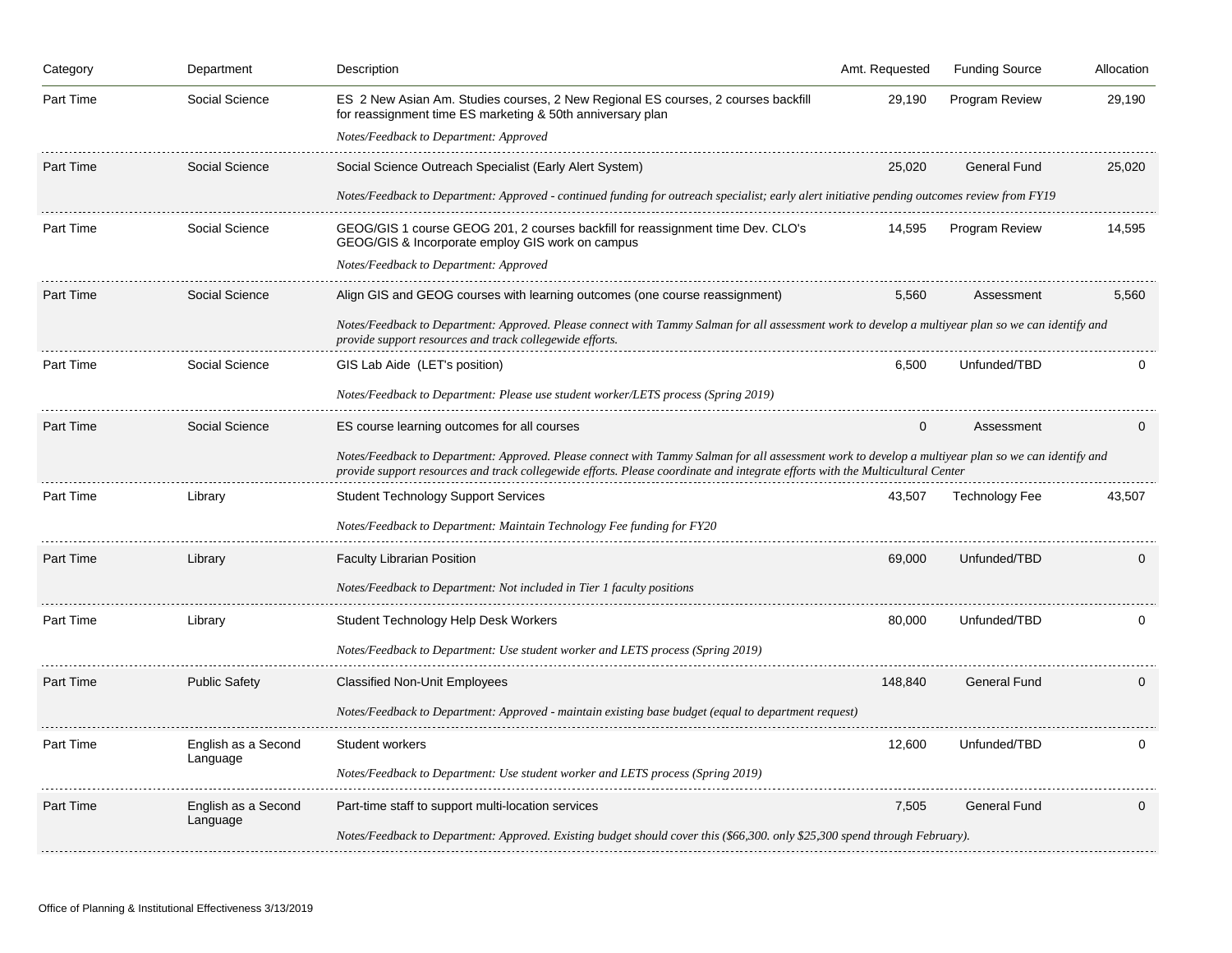| Category  | Department                      | Description                                                                                                                                                                                                                                                                           | Amt. Requested | <b>Funding Source</b> | Allocation |
|-----------|---------------------------------|---------------------------------------------------------------------------------------------------------------------------------------------------------------------------------------------------------------------------------------------------------------------------------------|----------------|-----------------------|------------|
| Part Time | Social Science                  | ES 2 New Asian Am. Studies courses, 2 New Regional ES courses, 2 courses backfill<br>for reassignment time ES marketing & 50th anniversary plan                                                                                                                                       | 29,190         | Program Review        | 29,190     |
|           |                                 | Notes/Feedback to Department: Approved                                                                                                                                                                                                                                                |                |                       |            |
| Part Time | Social Science                  | Social Science Outreach Specialist (Early Alert System)                                                                                                                                                                                                                               | 25,020         | <b>General Fund</b>   | 25,020     |
|           |                                 | Notes/Feedback to Department: Approved - continued funding for outreach specialist; early alert initiative pending outcomes review from FY19                                                                                                                                          |                |                       |            |
| Part Time | Social Science                  | GEOG/GIS 1 course GEOG 201, 2 courses backfill for reassignment time Dev. CLO's<br>GEOG/GIS & Incorporate employ GIS work on campus                                                                                                                                                   | 14,595         | <b>Program Review</b> | 14,595     |
|           |                                 | Notes/Feedback to Department: Approved                                                                                                                                                                                                                                                |                |                       |            |
| Part Time | Social Science                  | Align GIS and GEOG courses with learning outcomes (one course reassignment)                                                                                                                                                                                                           | 5,560          | Assessment            | 5,560      |
|           |                                 | Notes/Feedback to Department: Approved. Please connect with Tammy Salman for all assessment work to develop a multiyear plan so we can identify and<br>provide support resources and track collegewide efforts.                                                                       |                |                       |            |
| Part Time | Social Science                  | GIS Lab Aide (LET's position)                                                                                                                                                                                                                                                         | 6,500          | Unfunded/TBD          |            |
|           |                                 | Notes/Feedback to Department: Please use student worker/LETS process (Spring 2019)                                                                                                                                                                                                    |                |                       |            |
| Part Time | Social Science                  | ES course learning outcomes for all courses                                                                                                                                                                                                                                           | $\mathbf 0$    | Assessment            | $\Omega$   |
|           |                                 | Notes/Feedback to Department: Approved. Please connect with Tammy Salman for all assessment work to develop a multiyear plan so we can identify and<br>provide support resources and track collegewide efforts. Please coordinate and integrate efforts with the Multicultural Center |                |                       |            |
| Part Time | Library                         | <b>Student Technology Support Services</b>                                                                                                                                                                                                                                            | 43,507         | <b>Technology Fee</b> | 43,507     |
|           |                                 | Notes/Feedback to Department: Maintain Technology Fee funding for FY20                                                                                                                                                                                                                |                |                       |            |
| Part Time | Library                         | <b>Faculty Librarian Position</b>                                                                                                                                                                                                                                                     | 69,000         | Unfunded/TBD          |            |
|           |                                 | Notes/Feedback to Department: Not included in Tier 1 faculty positions                                                                                                                                                                                                                |                |                       |            |
| Part Time | Library                         | Student Technology Help Desk Workers                                                                                                                                                                                                                                                  | 80,000         | Unfunded/TBD          | 0          |
|           |                                 | Notes/Feedback to Department: Use student worker and LETS process (Spring 2019)                                                                                                                                                                                                       |                |                       |            |
| Part Time | <b>Public Safety</b>            | <b>Classified Non-Unit Employees</b>                                                                                                                                                                                                                                                  | 148,840        | <b>General Fund</b>   |            |
|           |                                 | Notes/Feedback to Department: Approved - maintain existing base budget (equal to department request)                                                                                                                                                                                  |                |                       |            |
| Part Time | English as a Second<br>Language | Student workers                                                                                                                                                                                                                                                                       | 12,600         | Unfunded/TBD          | 0          |
|           |                                 | Notes/Feedback to Department: Use student worker and LETS process (Spring 2019)                                                                                                                                                                                                       |                |                       |            |
| Part Time | English as a Second<br>Language | Part-time staff to support multi-location services                                                                                                                                                                                                                                    | 7,505          | <b>General Fund</b>   | $\Omega$   |
|           |                                 | Notes/Feedback to Department: Approved. Existing budget should cover this (\$66,300. only \$25,300 spend through February).                                                                                                                                                           |                |                       |            |
|           |                                 |                                                                                                                                                                                                                                                                                       |                |                       |            |